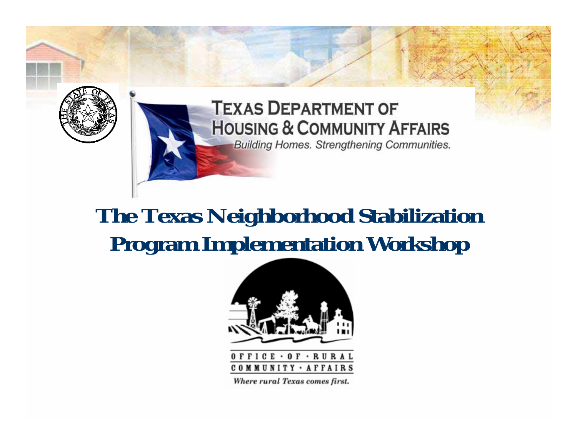

#### **TEXAS DEPARTMENT OF HOUSING & COMMUNITY AFFAIRS Building Homes. Strengthening Communities.**

#### **The Texas Neighborhood Stabilization Program Implementation Workshop**





Where rural Texas comes first.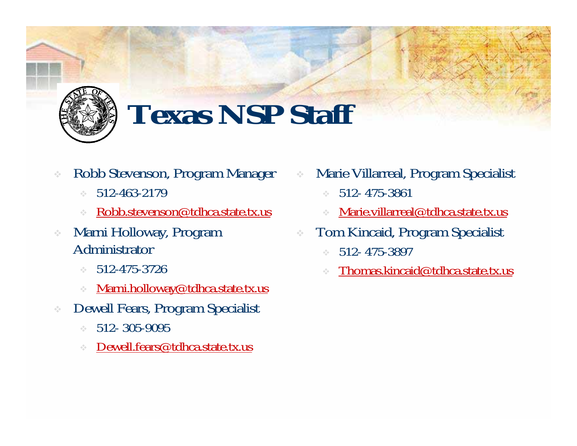

# **Texas NSP Staff**

- ÷ Robb Stevenson, Program Manager
	- $\mathcal{L}_{\mathcal{A}}^{\mathcal{A}}$  . 512-463-2179
	- ÷ [Robb.stevenson@tdhca.state.tx.us](mailto:Robb.stevenson@tdhca.state.tx.us)
- ÷ Marni Holloway, Program Administrator
	- $\mathcal{L}_{\mathcal{A}}^{\mathcal{A}}$  . 512-475-3726
	- $\hat{\sigma}^{\rm L}_{\rm eff}$ [Marni.holloway@tdhca.state.tx.us](mailto:Marni.holloway@tdhca.state.tx.us)
- Dewell Fears, Program Specialist
	- $\mathcal{L}_{\mathcal{A}}$ 512- 305-9095
	- ÷ [Dewell.fears@tdhca.state.tx.us](mailto:Dewell.fears@tdhca.state.tx.us)
- ÷ Marie Villarreal, Program Specialist
	- ÷ 512- 475-3861
	- ÷ [Marie.villarreal@tdhca.state.tx.us](mailto:Marie.villarreal@tdhca.state.tx.us)
- ÷ Tom Kincaid, Program Specialist
	- ÷ 512- 475-3897
	- ÷ [Thomas.kincaid@tdhca.state.tx.us](mailto:Thomas.kincaid@tdhca.state.tx.us)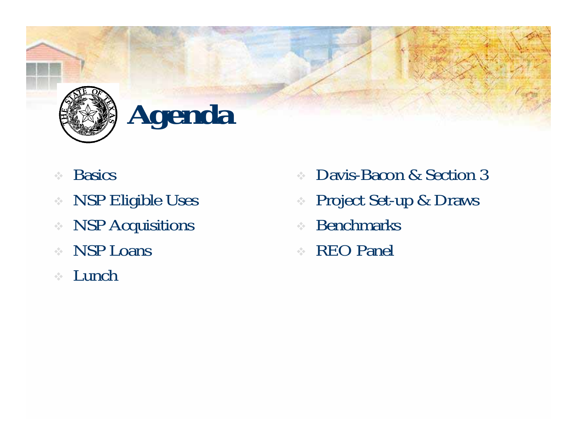

# **Agenda**

- $\frac{1}{2}$ **Basics**
- $\frac{1}{2} \frac{1}{2} \frac{1}{2}$ NSP Eligible Uses
- $\sigma_{\rm eff}^{\rm th}$ NSP Acquisitions
- $\frac{1}{2}$ NSP Loans
- $\frac{1}{2}$ Lunch
- $\frac{1}{2} \frac{d\phi}{d\phi}$ Davis-Bacon & Section 3
- $\frac{1}{2} \frac{d^2}{dt^2}$ Project Set-up & Draws
- $\frac{1}{2}$ Benchmarks
- REO Panel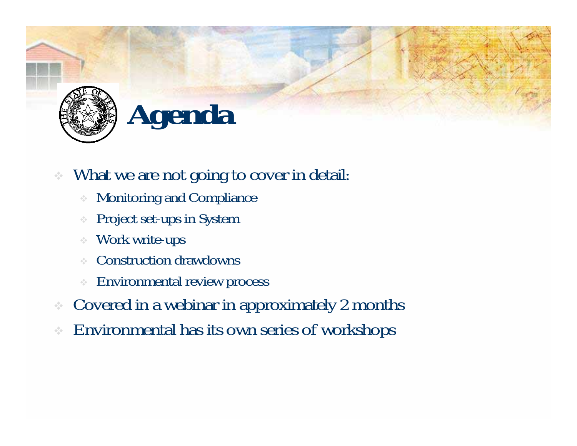



#### $\frac{1}{2}$ What we are not going to cover in detail:

- Monitoring and Compliance
- ÷ Project set-ups in System
- Work write-ups
- ÷ Construction drawdowns
- ÷ Environmental review process
- ❖ Covered in a webinar in approximately 2 months
- ❖ Environmental has its own series of workshops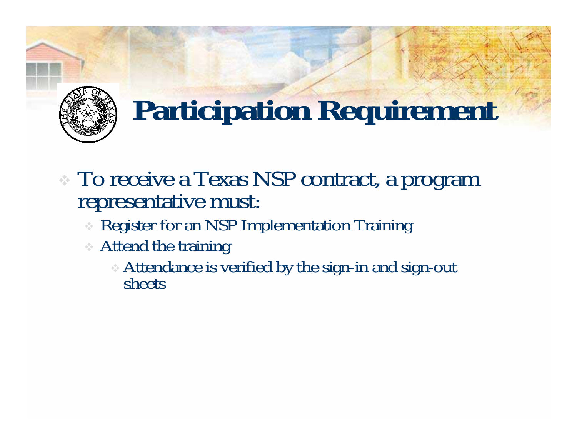

## **Participation Requirement**

- To receive a Texas NSP contract, a program representative must:
	- Register for an NSP Implementation Training
	- Attend the training
		- Attendance is verified by the sign-in and sign-out sheets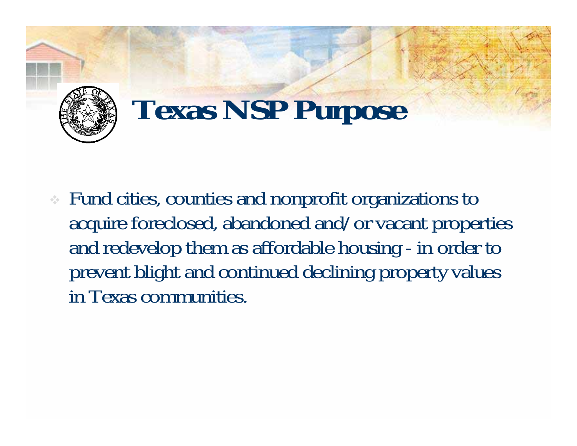

## **Texas NSP Purpose**

 Fund cities, counties and nonprofit organizations to acquire foreclosed, abandoned and/or vacant properties and redevelop them as affordable housing - in order to prevent blight and continued declining property values in Texas communities.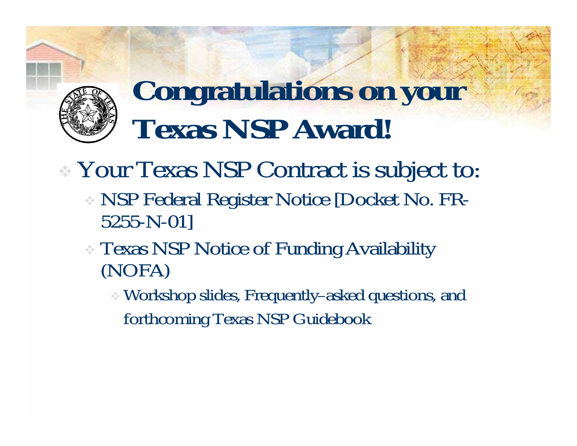

### **Congratulations on your Texas NSP Award!**

- Your Texas NSP Contract is subject to:
	- NSP Federal Register Notice [Docket No. FR-5255-N-01]
	- Texas NSP Notice of Funding Availability (NOFA)
		- Workshop slides, Frequently–asked questions, and forthcoming Texas NSP Guidebook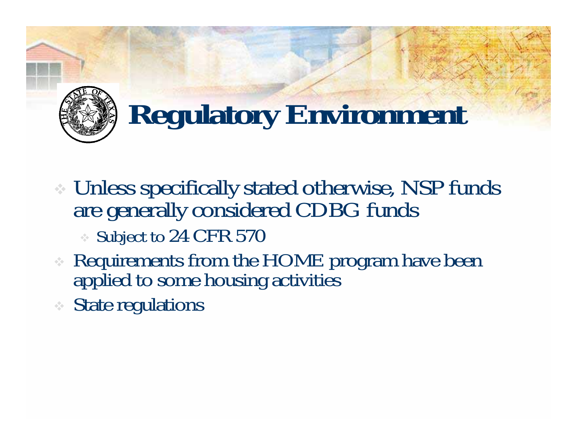

# **Regulatory Environment**

- Unless specifically stated otherwise, NSP funds are generally considered CDBG funds
	- Subject to 24 CFR 570
- Requirements from the HOME program have been applied to some housing activities
- State regulations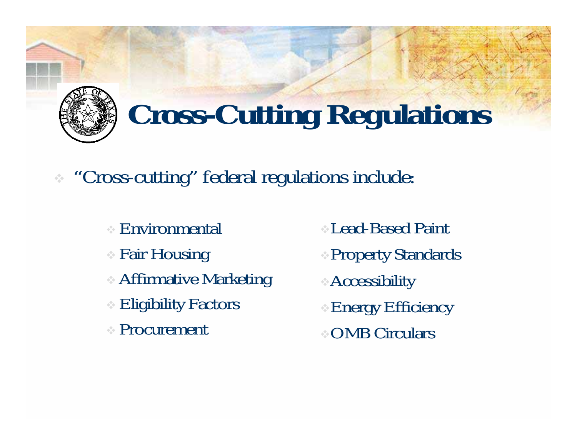

# **Cross-Cutting Regulations**

"Cross-cutting" federal regulations include:

- Environmental
- Fair Housing
- Affirmative Marketing
- Eligibility Factors
- Procurement
- Lead-Based Paint
- Property Standards
- Accessibility
- Energy Efficiency
- OMB Circulars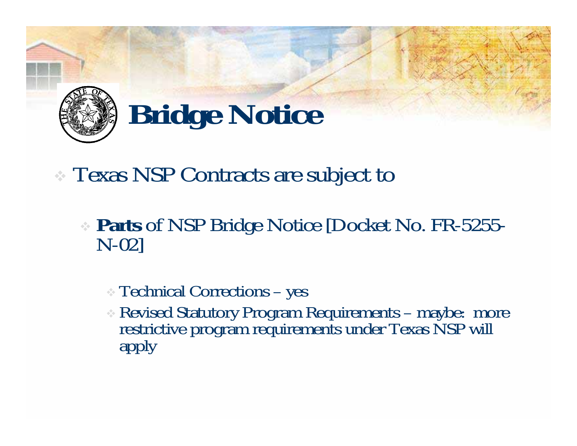

# **Bridge Notice**

#### Texas NSP Contracts are subject to

**Parts** of NSP Bridge Notice [Docket No. FR-5255-<br>N-02]

#### Technical Corrections – yes

Revised Statutory Program Requirements – maybe: more restrictive program requirements under Texas NSP will apply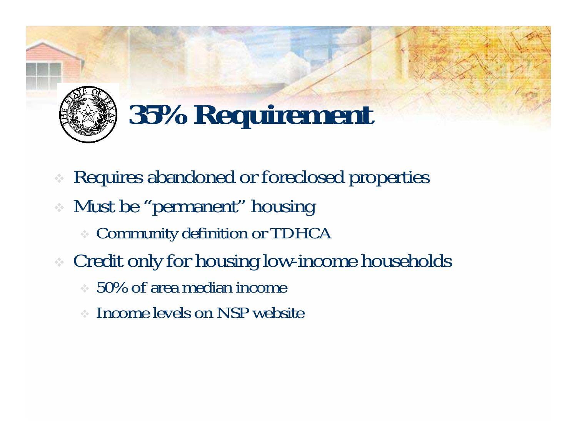

# **35% Requirement**

- ÷ Requires abandoned or foreclosed properties
- Must be "permanent" housing
	- Community definition or TDHCA
- Credit only for housing low-income households
	- 50% of area median income
	- Income levels on NSP website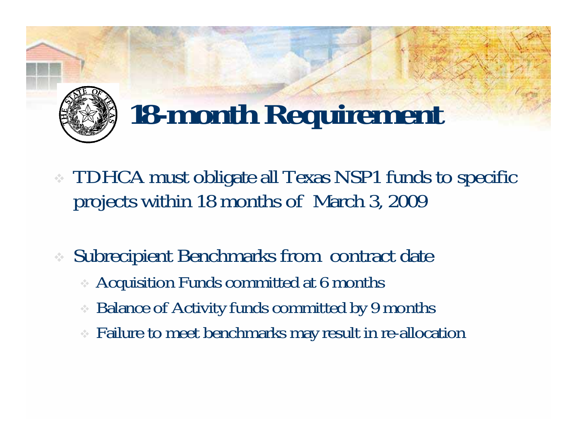

# **18-month Requirement**

- TDHCA must obligate all Texas NSP1 funds to specific projects within 18 months of March 3, 2009
- ❖ Subrecipient Benchmarks from contract date
	- Acquisition Funds committed at 6 months
	- $\frac{1}{2} \frac{d^2}{dt^2}$ Balance of Activity funds committed by 9 months
	- Failure to meet benchmarks may result in re-allocation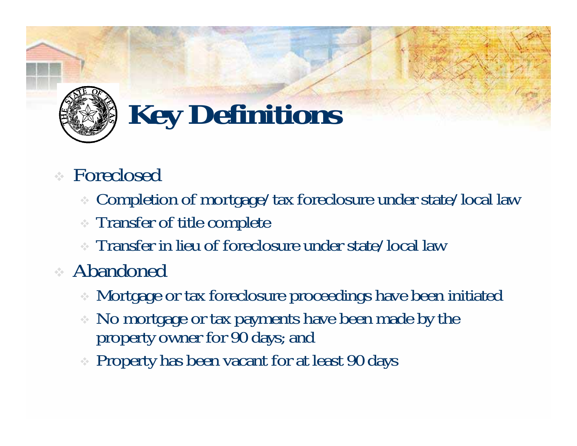

# **Key Definitions**

- Foreclosed
	- Completion of mortgage/tax foreclosure under state/local law
	- Transfer of title complete
	- Transfer in lieu of foreclosure under state/local law
- Abandoned
	- Mortgage or tax foreclosure proceedings have been initiated
	- No mortgage or tax payments have been made by the property owner for 90 days; and
	- Property has been vacant for at least 90 days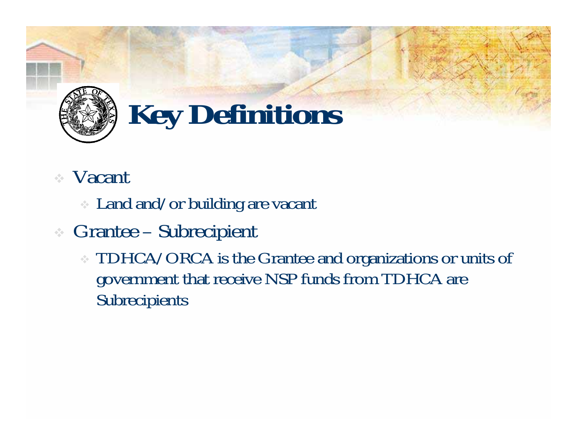

# **Key Definitions**

#### Vacant

- Land and/or building are vacant
- Grantee Subrecipient
	- TDHCA/ORCA is the Grantee and organizations or units of government that receive NSP funds from TDHCA are Subrecipients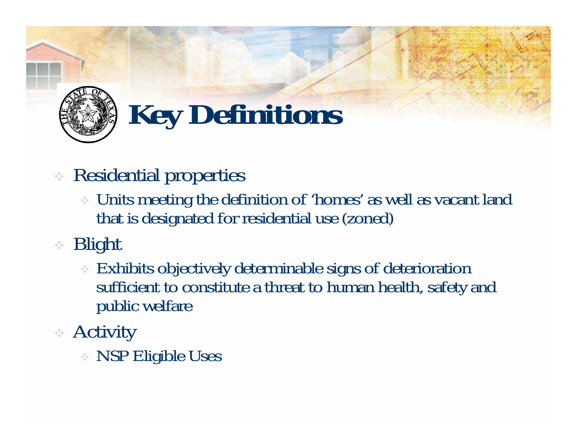

# **Key Definitions**

- Residential properties
	- Units meeting the definition of 'homes' as well as vacant land that is designated for residential use (zoned)
- Blight
	- Exhibits objectively determinable signs of deterioration sufficient to constitute a threat to human health, safety and public welfare
- Activity
	- NSP Eligible Uses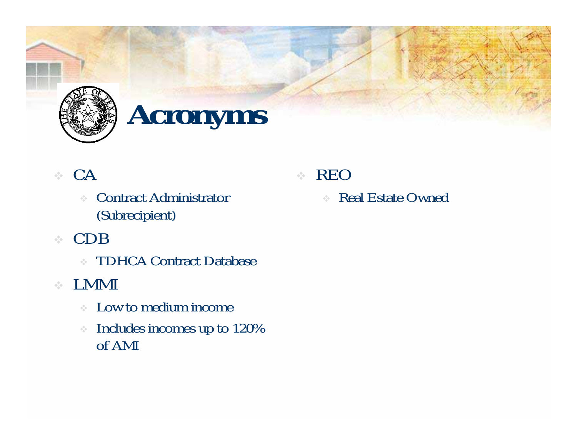

### **Acronyms**

#### $\therefore$  CA

- Contract Administrator (Subrecipient)
- CDB
	- TDHCA Contract Database
- LMMI
	- Low to medium income
	- $\hat{c}_{\rm g}^{\rm (e)}$  Includes incomes up to 120% of AMI

#### REO

 $\mathcal{L}_{\mathcal{A}}$  . Real Estate Owned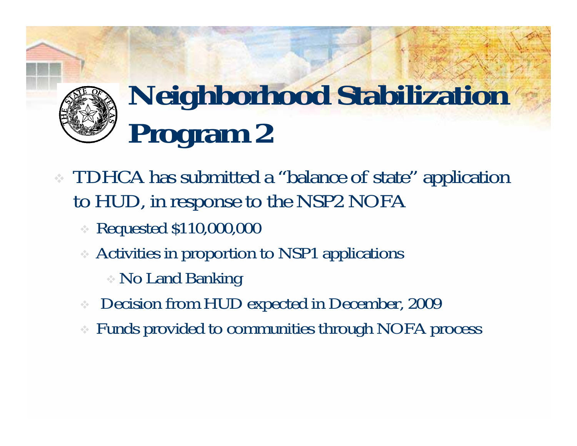# **Neighborhood Stabilization Program 2**

- TDHCA has submitted a "balance of state" application to HUD, in response to the NSP2 NOFA
	- Requested \$110,000,000
	- Activities in proportion to NSP1 applications
		- No Land Banking
	- $\frac{1}{2} \frac{1}{2} \frac{1}{2}$ Decision from HUD expected in December, 2009
	- ❖ Funds provided to communities through NOFA process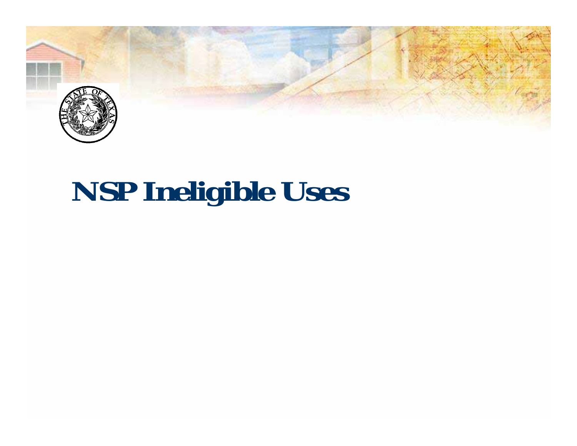

## **NSP Ineligible Uses**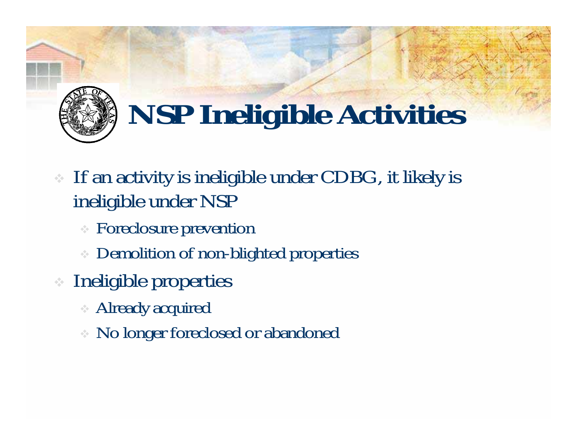

# **NSP Ineligible Activities**

- If an activity is ineligible under CDBG, it likely is ineligible under NSP
	- Foreclosure prevention
	- **Demolition of non-blighted properties**
- Ineligible properties
	- Already acquired
	- No longer foreclosed or abandoned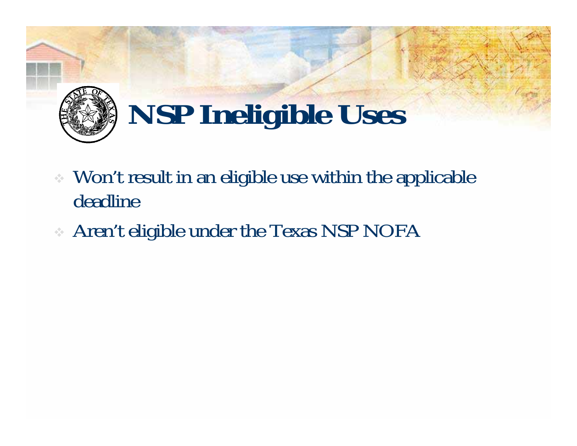

# **NSP Ineligible Uses**

- Won't result in an eligible use within the applicable deadline
- Aren't eligible under the Texas NSP NOFA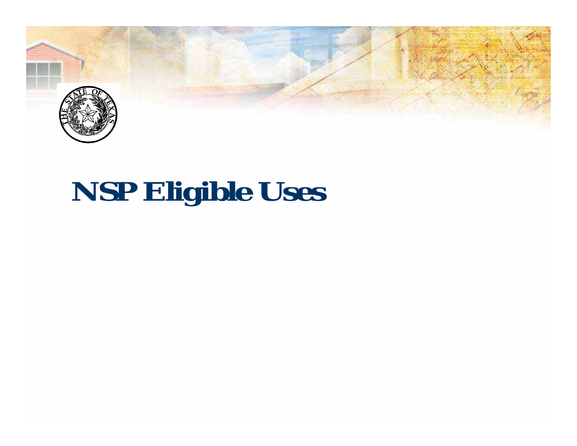

# **NSP Eligible Uses**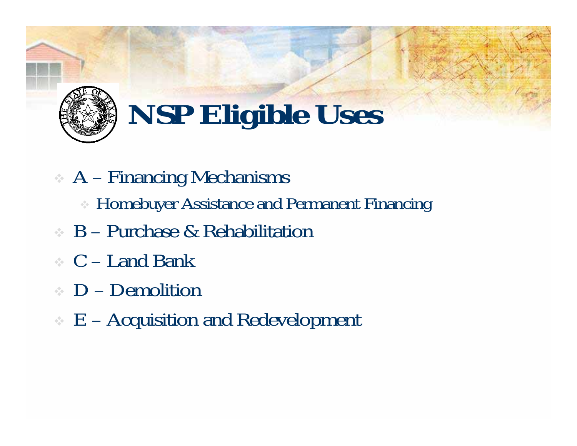

# **NSP Eligible Uses**

- A Financing Mechanisms
	- Homebuyer Assistance and Permanent Financing
- B Purchase & Rehabilitation
- C Land Bank
- D Demolition
- $\epsilon$  E Acquisition and Redevelopment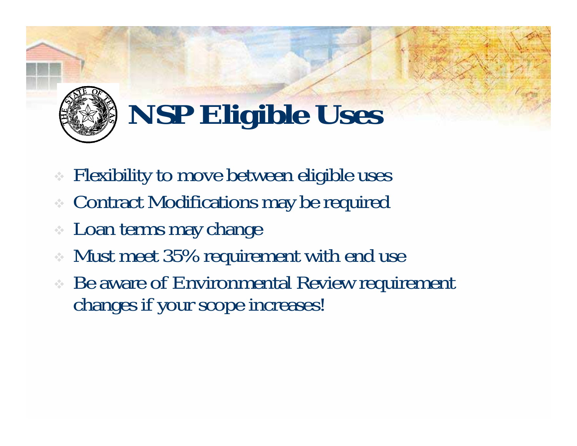

# **NSP Eligible Uses**

- Flexibility to move between eligible uses
- Contract Modifications may be required
- Loan terms may change
- Must meet 35% requirement with end use
- Be aware of Environmental Review requirement changes if your scope increases!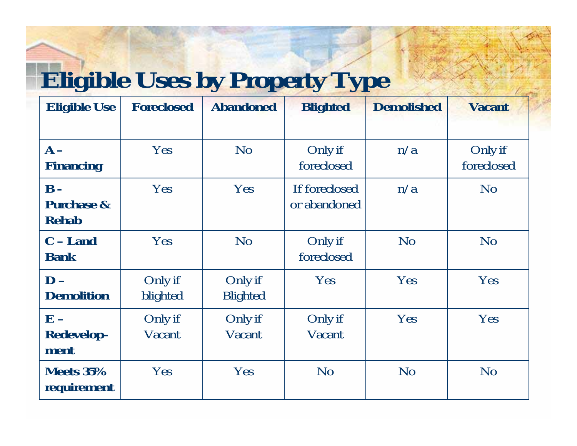#### **Eligible Uses by Property Type**

| <b>Eligible Use</b>                                     | <b>Foreclosed</b>   | <b>Abandoned</b>           | <b>Blighted</b>               | <b>Demolished</b> | <b>Vacant</b>         |
|---------------------------------------------------------|---------------------|----------------------------|-------------------------------|-------------------|-----------------------|
| $A -$<br><b>Financing</b>                               | Yes                 | N <sub>o</sub>             | Only if<br>foreclosed         | n/a               | Only if<br>foreclosed |
| $\mathbf{B}$ -<br><b>Purchase &amp;</b><br><b>Rehab</b> | Yes                 | Yes                        | If foreclosed<br>or abandoned | n/a               | N <sub>o</sub>        |
| $C - Land$<br><b>Bank</b>                               | Yes                 | N <sub>o</sub>             | Only if<br>foreclosed         | No                | N <sub>o</sub>        |
| $D -$<br><b>Demolition</b>                              | Only if<br>blighted | Only if<br><b>Blighted</b> | Yes                           | Yes               | Yes                   |
| $E -$<br><b>Redevelop-</b><br>ment                      | Only if<br>Vacant   | Only if<br>Vacant          | Only if<br>Vacant             | Yes               | Yes                   |
| Meets 35%<br>requirement                                | Yes                 | Yes                        | N <sub>o</sub>                | N <sub>o</sub>    | N <sub>o</sub>        |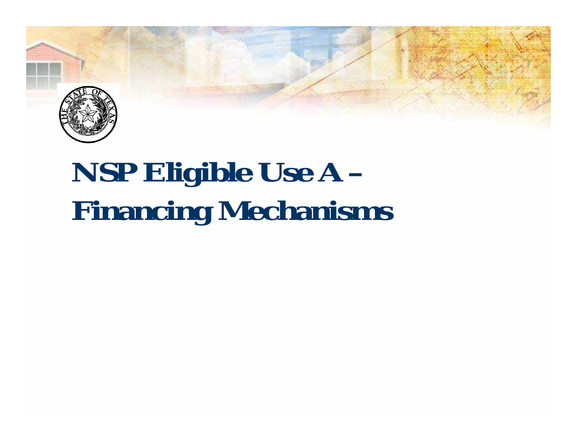

# **NSP Eligible Use A – Financing Mechanisms**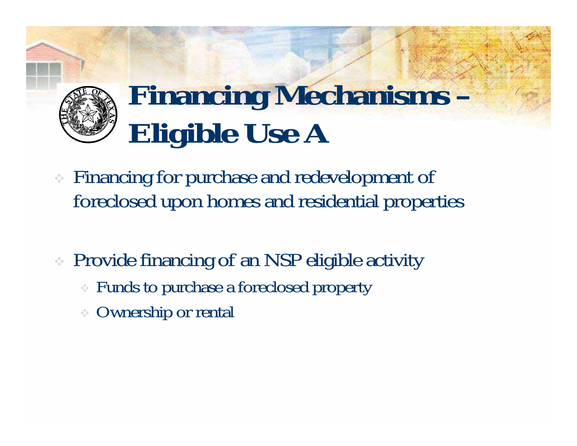

# **Financing Mechanisms – Eligible Use A**

- Financing for purchase and redevelopment of foreclosed upon homes and residential properties
- Provide financing of an NSP eligible activity
	- Funds to purchase a foreclosed property
	- Ownership or rental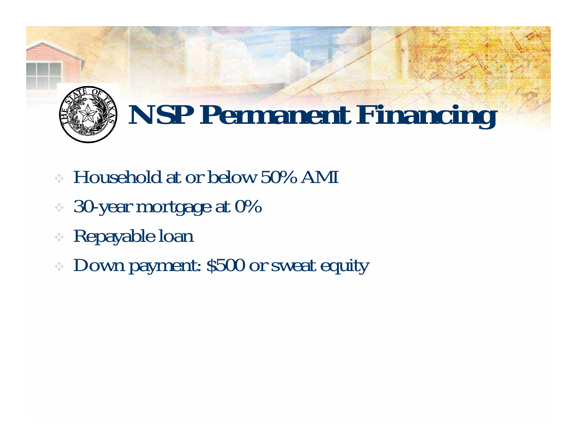

# **NSP Permanent Financing**

- Household at or below 50% AMI
- 30-year mortgage at 0%
- Repayable loan
- Down payment: \$500 or sweat equity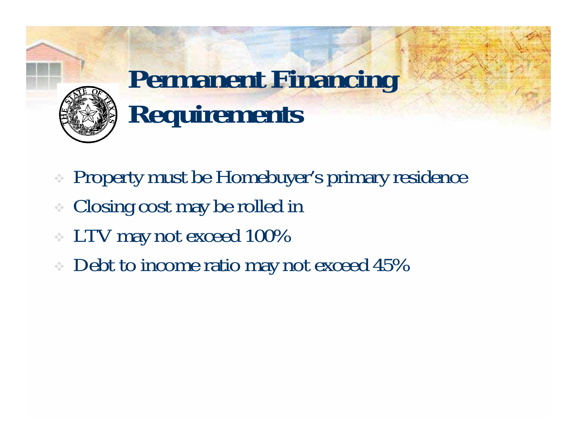

### **Permanent Financing Requirements**

- Property must be Homebuyer's primary residence
- Closing cost may be rolled in
- LTV may not exceed 100%
- Debt to income ratio may not exceed 45%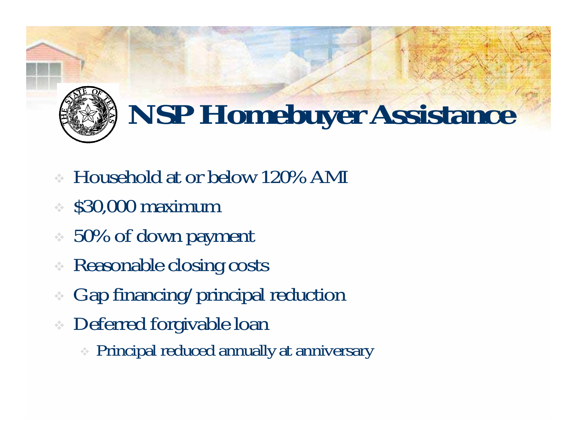

# **NSP Homebuyer Assistance**

- Household at or below 120% AMI
- \$30,000 maximum
- $\approx 50\%$  of down payment
- ÷ Reasonable closing costs
- Gap financing/principal reduction
- Deferred forgivable loan
	- Principal reduced annually at anniversary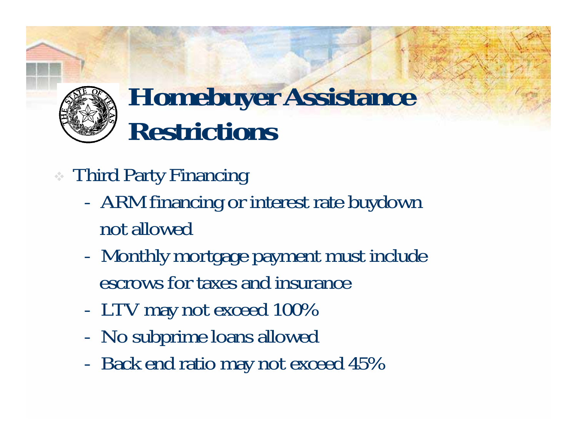#### **Homebuyer Assistance Restrictions**

- Third Party Financing
	- ARM financing or interest rate buydown not allowed
	- Monthly mortgage payment must include escrows for taxes and insurance
	- LTV may not exceed 100%
	- No subprime loans allowed
	- Back end ratio may not exceed 45%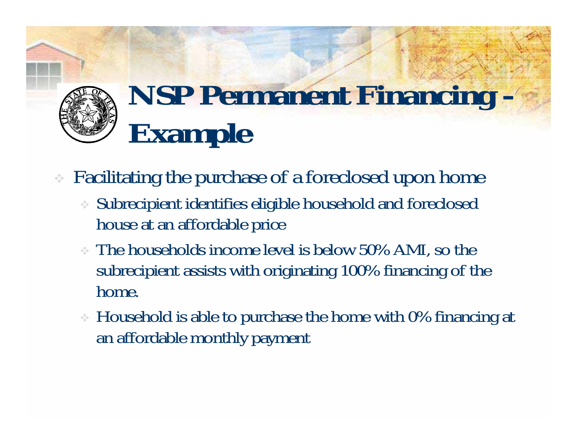# **NSP Permanent Financing - Example**

Facilitating the purchase of a foreclosed upon home

- Subrecipient identifies eligible household and foreclosed house at an affordable price
- The households income level is below 50% AMI, so the subrecipient assists with originating 100% financing of the home.
- Household is able to purchase the home with 0% financing at an affordable monthly payment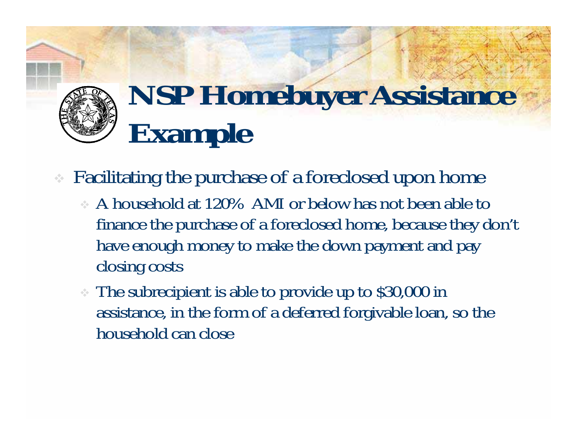

# **NSP Homebuyer Assistance Example**

Facilitating the purchase of a foreclosed upon home

- A household at 120% AMI or below has not been able to finance the purchase of a foreclosed home, because they don't have enough money to make the down payment and pay closing costs
- The subrecipient is able to provide up to \$30,000 in assistance, in the form of a deferred forgivable loan, so the household can close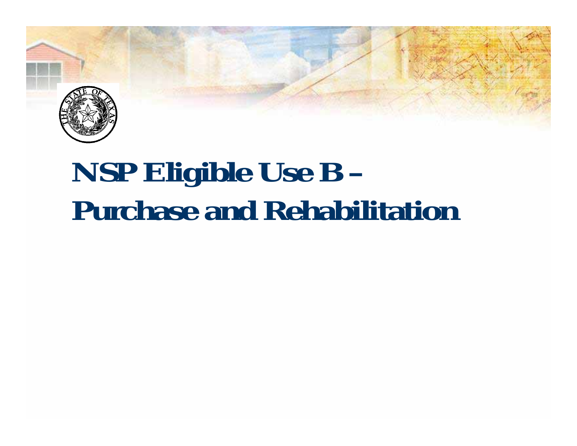

## **NSP Eligible Use B – Purchase and Rehabilitation**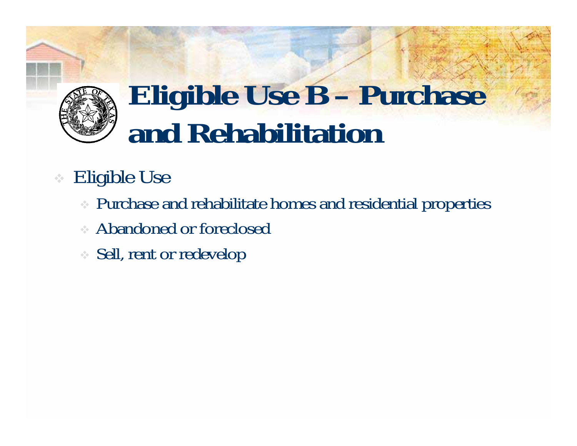

## **Eligible Use B – Purchase and Rehabilitation**

#### Eligible Use

- Purchase and rehabilitate homes and residential properties
- Abandoned or foreclosed
- Sell, rent or redevelop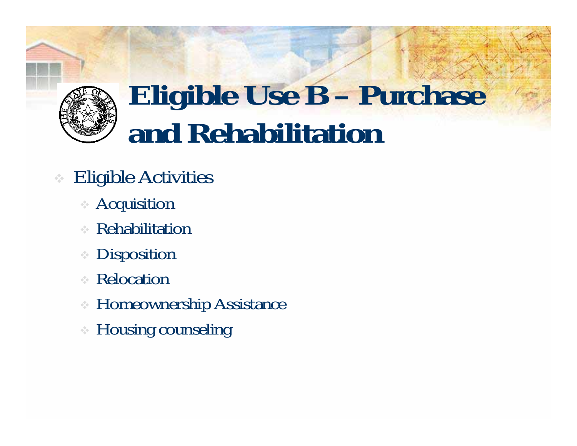

## **Eligible Use B – Purchase and Rehabilitation**

- Eligible Activities
	- Acquisition
	- Rehabilitation
	- **Disposition**
	- Relocation
	- Homeownership Assistance
	- Housing counseling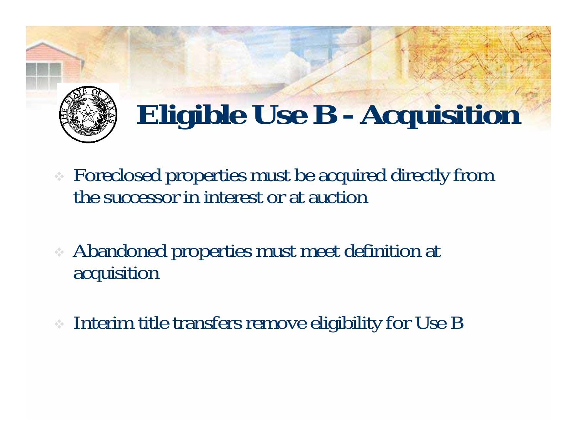

# **Eligible Use B - Acquisition**

- Foreclosed properties must be acquired directly from the successor in interest or at auction
- Abandoned properties must meet definition at acquisition
- Interim title transfers remove eligibility for Use B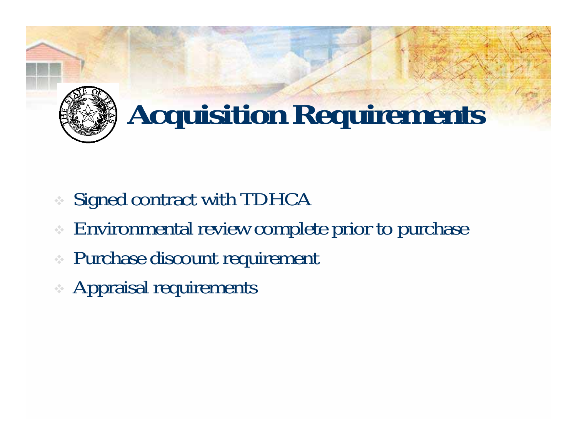

- Signed contract with TDHCA
- Environmental review complete prior to purchase
- Purchase discount requirement
- Appraisal requirements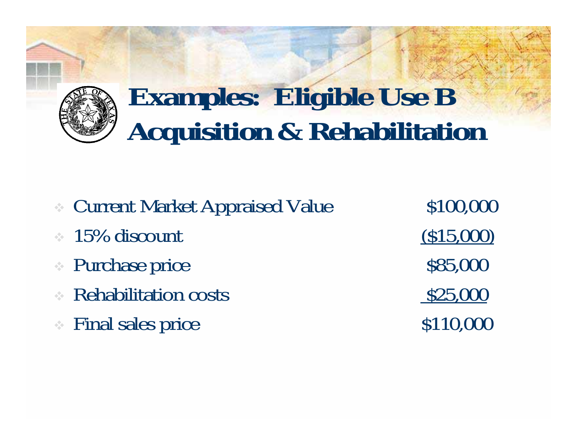

#### **Examples: Eligible Use B Acquisition & Rehabilitation**

- Current Market Appraised Value \$100,000
- $\approx 15\%$  discount (\$15,000)
- $\bullet$  Purchase price  $$85,000$
- Rehabilitation costs 525,000
- $\bullet$  Final sales price  $$110,000$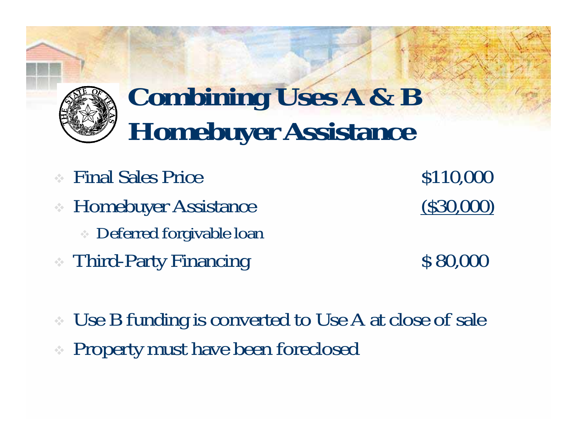

#### **Combining Uses A & B Homebuyer Assistance**

- $\therefore$  Final Sales Price  $$110,000$
- Homebuyer Assistance (\$30,000)
	- Deferred forgivable loan
- Third-Party Financing \$ 80,000

 Use B funding is converted to Use A at close of sale Property must have been foreclosed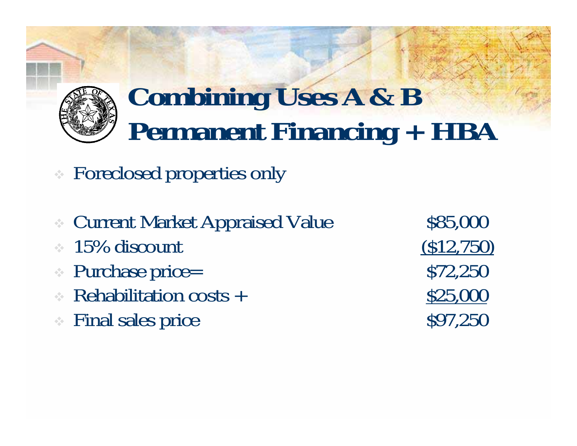

#### **Combining Uses A & B Permanent Financing + HBA**

- Foreclosed properties only
- Current Market Appraised Value \$85,000
- $\approx 15\%$  discount (\$12,750)
- $\therefore$  Purchase price=  $$72,250$
- Rehabilitation costs +  $$25,000$
- $\therefore$  Final sales price  $\qquad \qquad$  \$97,250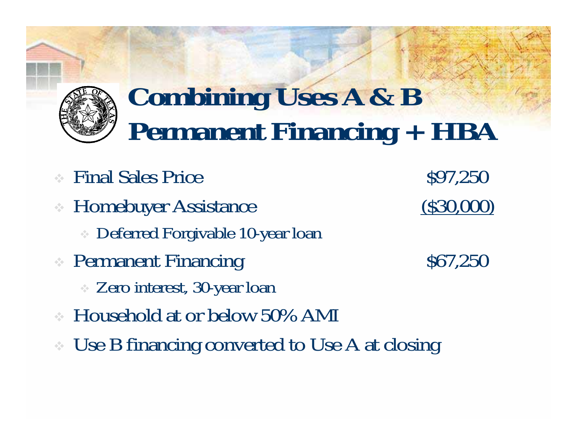

#### **Combining Uses A & B Permanent Financing + HBA**

- Final Sales Price  $$97,250$
- Homebuyer Assistance (\$30,000)
	- Deferred Forgivable 10-year loan
- Permanent Financing \$67,250
	- Zero interest, 30-year loan
- Household at or below 50% AMI
- Use B financing converted to Use A at closing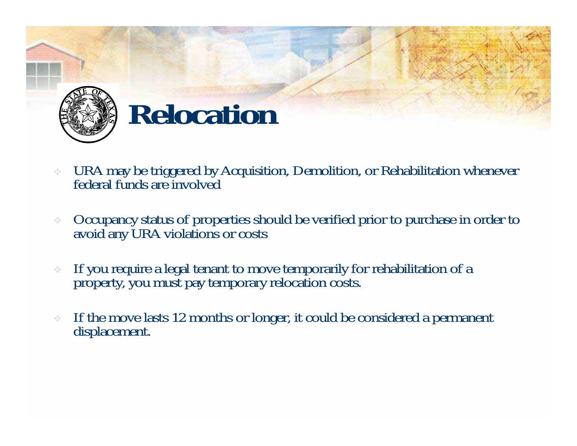

#### **Relocation**

- ÷ URA may be triggered by Acquisition, Demolition, or Rehabilitation whenever federal funds are involved
- $\sigma_{\rm eff}^{\rm th}$ Occupancy status of properties should be verified prior to purchase in order to avoid any URA violations or costs
- ÷ If you require a legal tenant to move temporarily for rehabilitation of a property, you must pay temporary relocation costs.
- If the move lasts 12 months or longer, it could be considered a permanent displacement.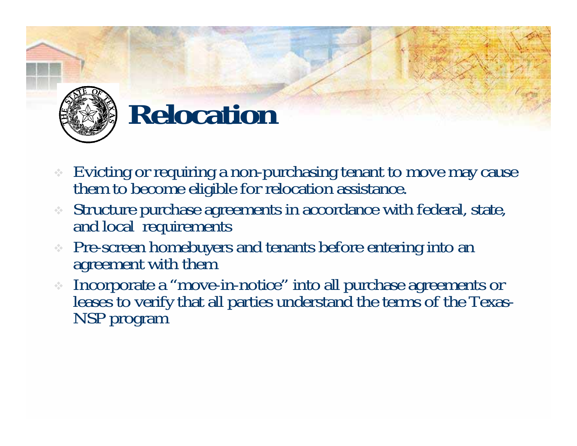

#### **Relocation**

- Evicting or requiring a non-purchasing tenant to move may cause them to become eligible for relocation assistance.
- ❖ Structure purchase agreements in accordance with federal, state, and local requirements
- Pre-screen homebuyers and tenants before entering into an agreement with them
- Incorporate a "move-in-notice" into all purchase agreements or leases to verify that all parties understand the terms of the Texas- NSP program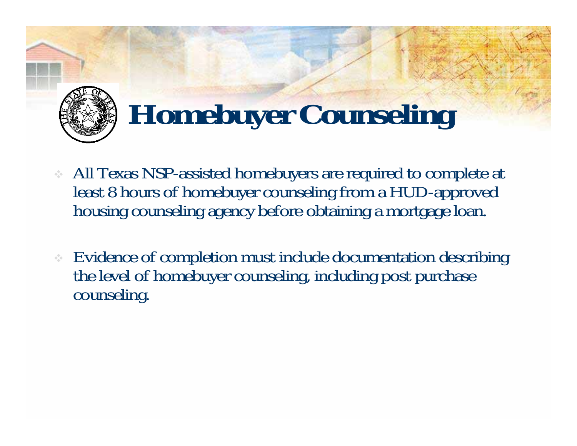

## **Homebuyer Counseling**

- All Texas NSP-assisted homebuyers are required to complete at least 8 hours of homebuyer counseling from a HUD-approved housing counseling agency before obtaining a mortgage loan.
- Evidence of completion must include documentation describing the level of homebuyer counseling, including post purchase counseling.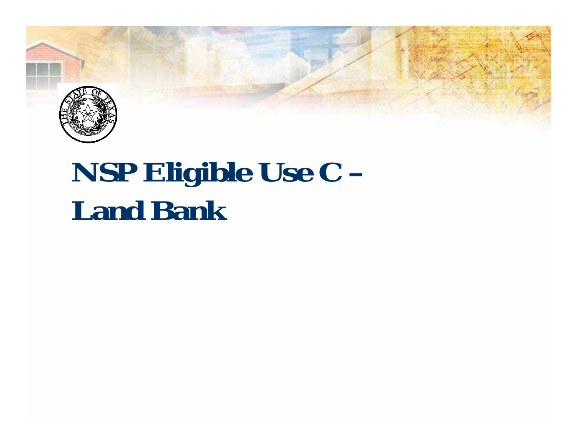

#### **NSP Eligible Use C – Land Bank**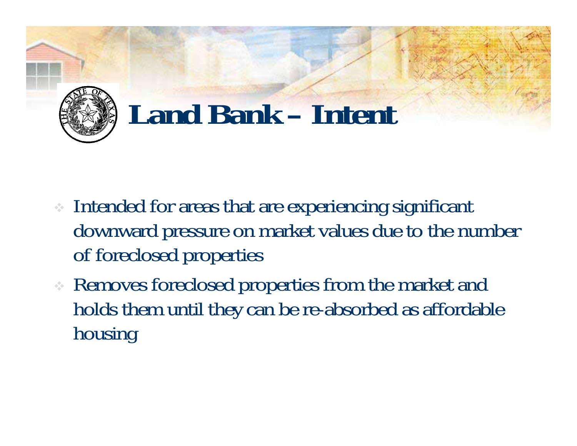

#### **Land Bank – Intent**

- Intended for areas that are experiencing significant downward pressure on market values due to the number of foreclosed properties
- Removes foreclosed properties from the market and holds them until they can be re-absorbed as affordable housing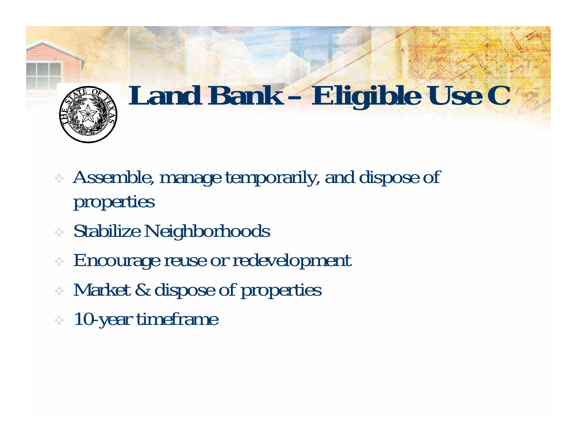

## **Land Bank – Eligible Use C**

- Assemble, manage temporarily, and dispose of properties
- Stabilize Neighborhoods
- ÷ Encourage reuse or redevelopment
- Market & dispose of properties
- 10-year timeframe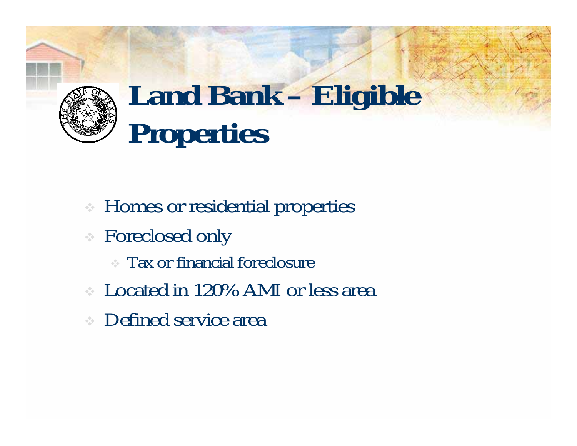

## **Land Bank – Eligible Properties**

- Homes or residential properties
- Foreclosed only
	- Tax or financial foreclosure
- Located in 120% AMI or less area
- Defined service area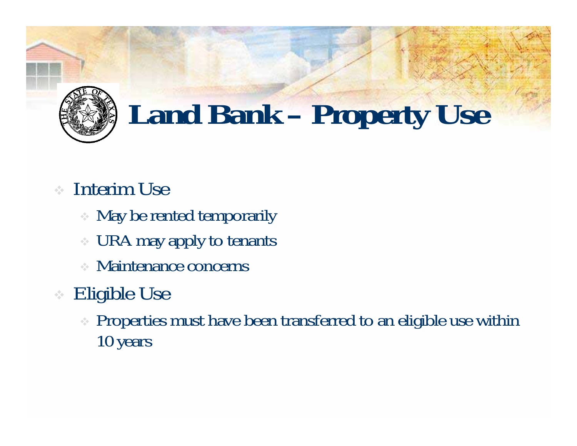

## **Land Bank – Property Use**

- Interim Use
	- May be rented temporarily
	- URA may apply to tenants
	- Maintenance concerns

#### Eligible Use

 Properties must have been transferred to an eligible use within 10 years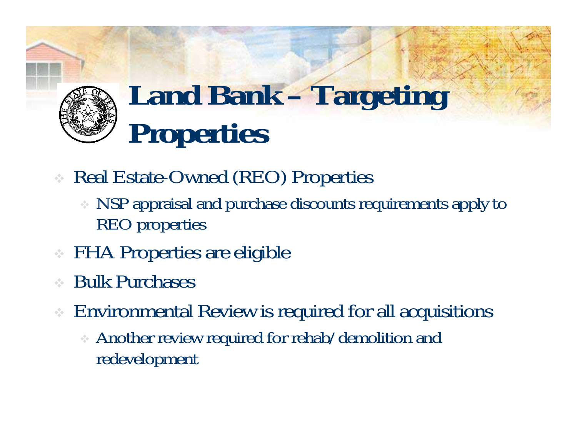#### **Land Bank – Targeting Properties**

- Real Estate-Owned (REO) Properties
	- NSP appraisal and purchase discounts requirements apply to REO properties
- FHA Properties are eligible
- ÷ Bulk Purchases
- Environmental Review is required for all acquisitions
	- Another review required for rehab/demolition and redevelopment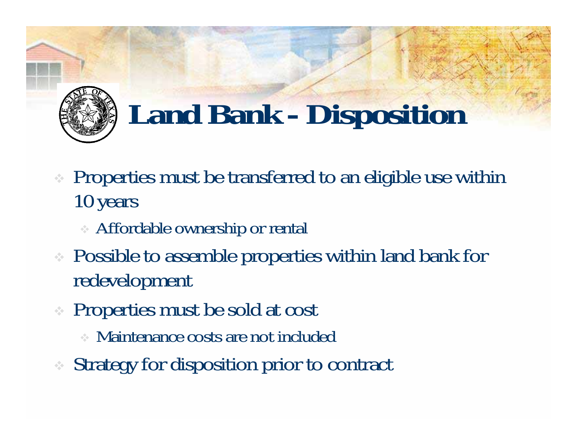

## **Land Bank - Disposition**

- **•** Properties must be transferred to an eligible use within 10 years
	- Affordable ownership or rental
- Possible to assemble properties within land bank for redevelopment
- Properties must be sold at cost
	- Maintenance costs are not included
- Strategy for disposition prior to contract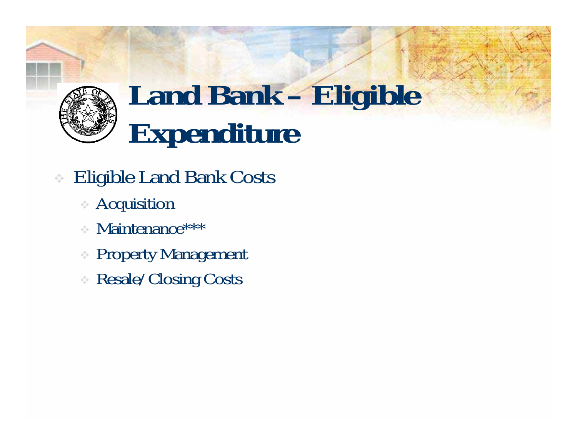

### **Land Bank – Eligible Expenditure**

- Eligible Land Bank Costs
	- Acquisition
	- Maintenance\*\*\*
	- Property Management
	- Resale/Closing Costs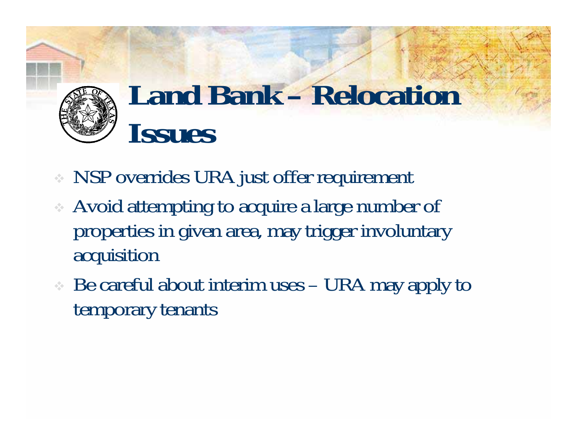

#### **Land Bank – Relocation Issues**

- NSP overrides URA just offer requirement
- Avoid attempting to acquire a large number of properties in given area, may trigger involuntary acquisition
- Be careful about interim uses URA may apply to temporary tenants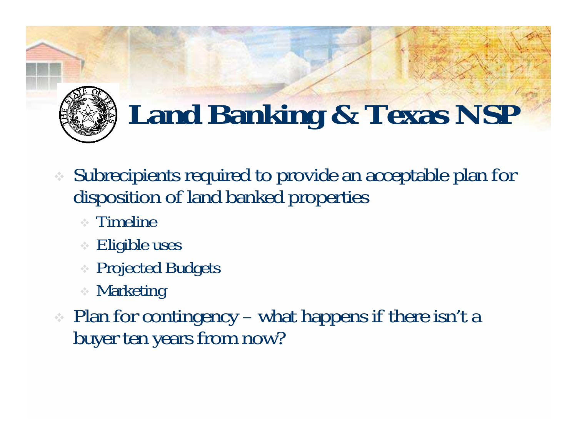

## **Land Banking & Texas NSP**

- Subrecipients required to provide an acceptable plan for disposition of land banked properties
	- Timeline
	- Eligible uses
	- Projected Budgets
	- Marketing
- Plan for contingency what happens if there isn't a buyer ten years from now?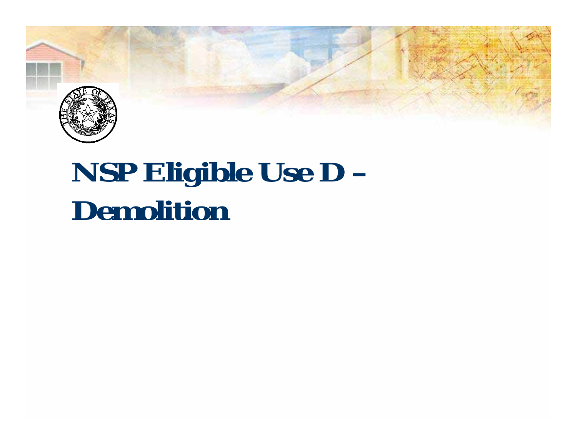

#### **NSP Eligible Use D – Demolition**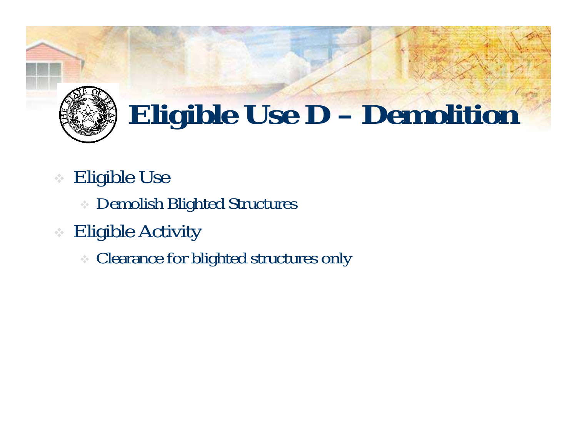

## **Eligible Use D – Demolition**

- $\frac{1}{2}$  Eligible Use
	- Demolish Blighted Structures
- **Eligible Activity** 
	- Clearance for blighted structures only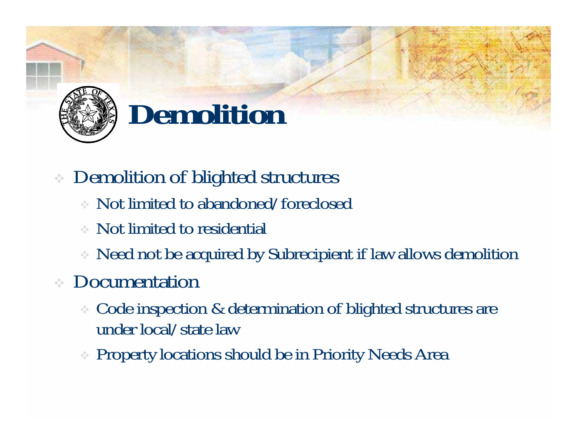

### **Demolition**

- Demolition of blighted structures
	- Not limited to abandoned/foreclosed
	- Not limited to residential
	- Need not be acquired by Subrecipient if law allows demolition

#### Documentation

- Code inspection & determination of blighted structures are under local/state law
- Property locations should be in Priority Needs Area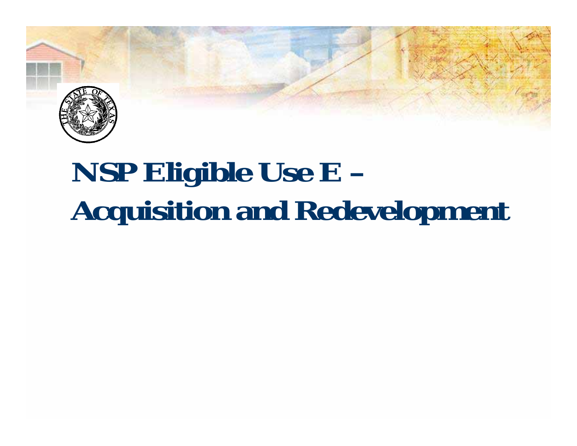

## **NSP Eligible Use E – Acquisition and Redevelopment**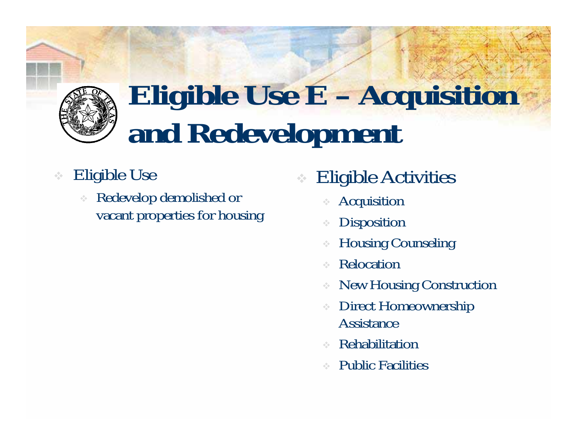

### **Eligible Use E – Acquisition and Redevelopment**

- Eligible Use
	- $\hat{\mathcal{L}}_{\mathcal{L}}$  Redevelop demolished or vacant properties for housing
- ÷ Eligible Activities
	- ÷ Acquisition
	- ÷ Disposition
	- Housing Counseling
	- Relocation
	- ÷ New Housing Construction
	- Direct Homeownership Assistance
	- ÷ Rehabilitation
	- ÷ Public Facilities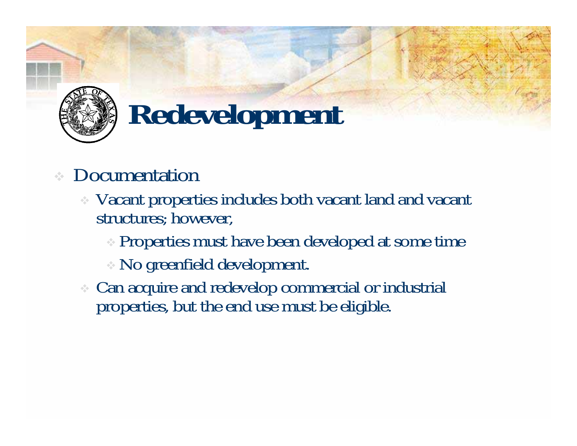

## **Redevelopment**

- ÷ Documentation
	- Vacant properties includes both vacant land and vacant structures; however,
		- Properties must have been developed at some time
		- No greenfield development.
	- Can acquire and redevelop commercial or industrial properties, but the end use must be eligible.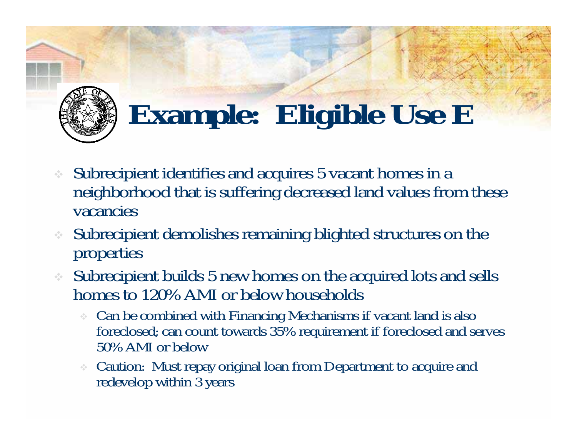

## **Example: Eligible Use E**

- Subrecipient identifies and acquires 5 vacant homes in a neighborhood that is suffering decreased land values from these vacancies
- Subrecipient demolishes remaining blighted structures on the properties
- Subrecipient builds 5 new homes on the acquired lots and sells homes to 120% AMI or below households
	- Can be combined with Financing Mechanisms if vacant land is also foreclosed; can count towards 35% requirement if foreclosed and serves 50% AMI or below
	- ÷ Caution: Must repay original loan from Department to acquire and redevelop within 3 years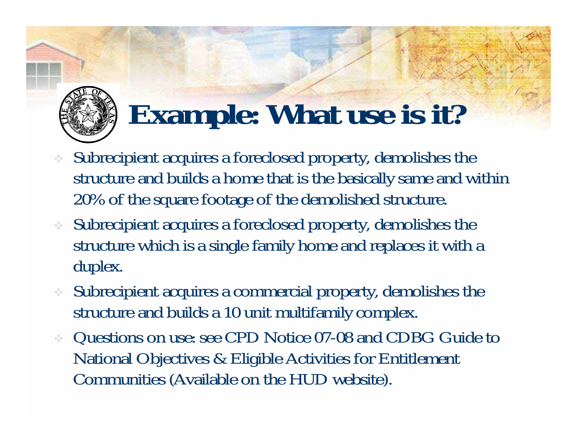

## **Example: What use is it?**

- Subrecipient acquires a foreclosed property, demolishes the structure and builds a home that is the basically same and within 20% of the square footage of the demolished structure.
- Subrecipient acquires a foreclosed property, demolishes the structure which is a single family home and replaces it with a duplex.
- ❖ Subrecipient acquires a commercial property, demolishes the structure and builds a 10 unit multifamily complex.
- Questions on use: see CPD Notice 07-08 and CDBG Guide to National Objectives & Eligible Activities for Entitlement Communities (Available on the HUD website).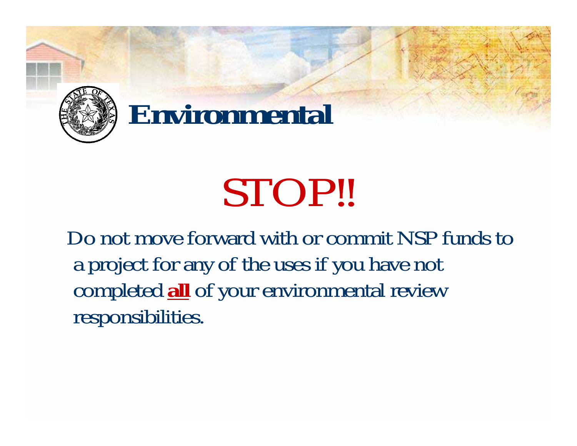

#### **Environmental**

# STOP!!

Do not move forward with or commit NSP funds to a project for any of the uses if you have not completed **all** of your environmental review responsibilities.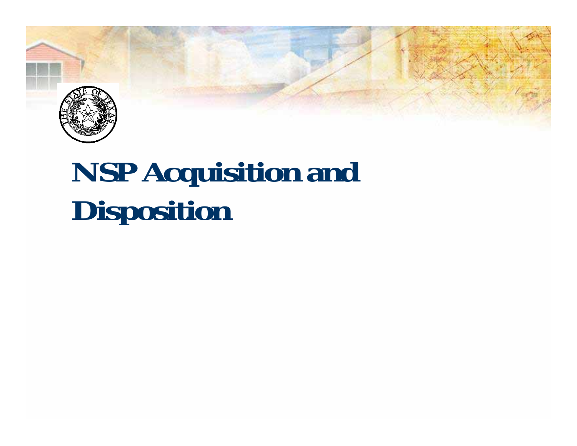

## **NSP Acquisition and Disposition**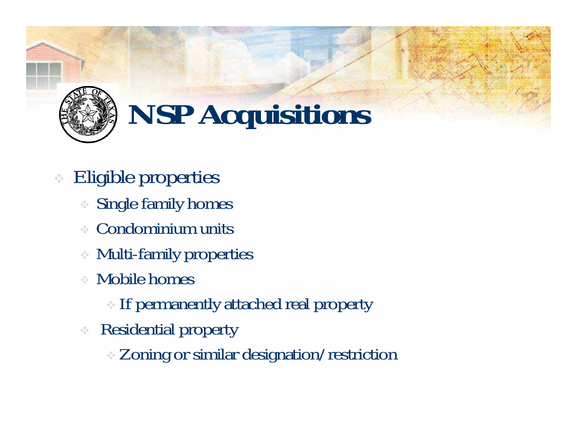

- Eligible properties
	- Single family homes
	- Condominium units
	- Multi-family properties
	- Mobile homes
		- If permanently attached real property
	- Residential property
		- Zoning or similar designation/restriction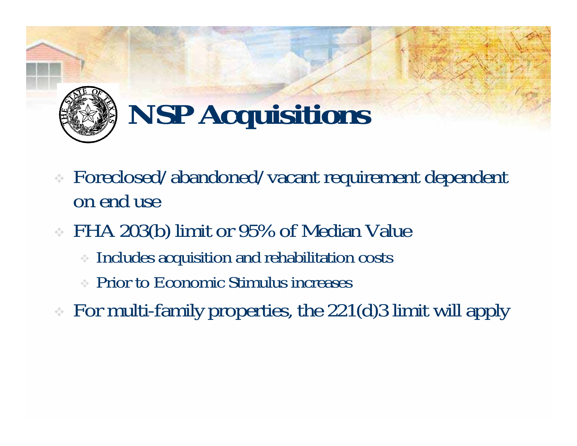

- Foreclosed/abandoned/vacant requirement dependent on end use
- FHA 203(b) limit or 95% of Median Value
	- Includes acquisition and rehabilitation costs
	- Prior to Economic Stimulus increases
- For multi-family properties, the 221(d)3 limit will apply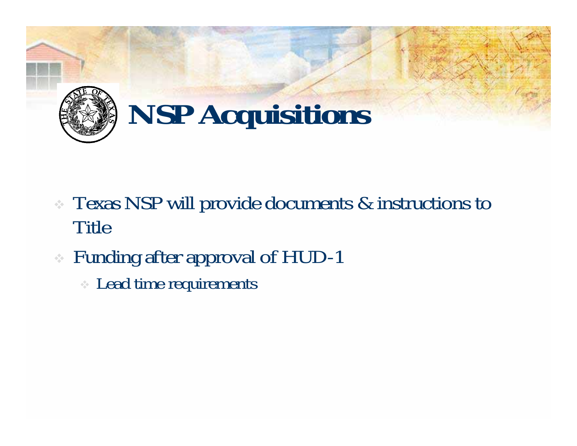

- Texas NSP will provide documents & instructions to Title
- Funding after approval of HUD-1
	- Lead time requirements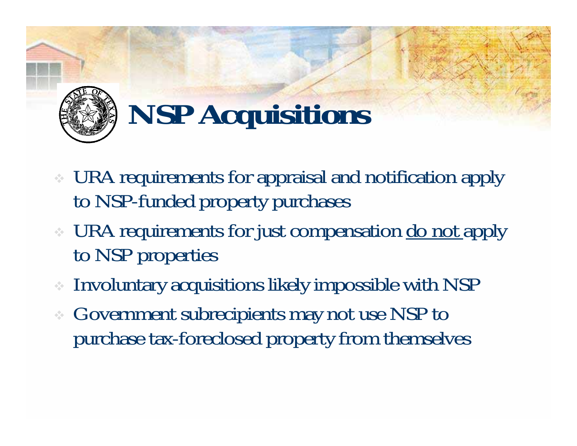

- URA requirements for appraisal and notification apply to NSP-funded property purchases
- URA requirements for just compensation <u>do not apply</u> to NSP properties
- Involuntary acquisitions likely impossible with NSP
- Government subrecipients may not use NSP to purchase tax-foreclosed property from themselves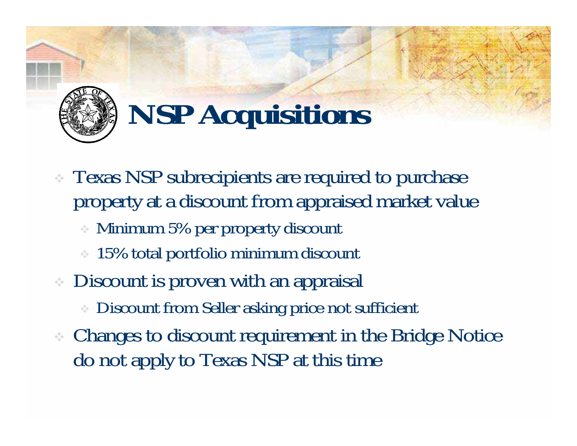

- Texas NSP subrecipients are required to purchase property at a discount from appraised market value
	- Minimum 5% per property discount
	- **↓ 15% total portfolio minimum discount**
- **Discount is proven with an appraisal** 
	- Discount from Seller asking price not sufficient
- Changes to discount requirement in the Bridge Notice do not apply to Texas NSP at this time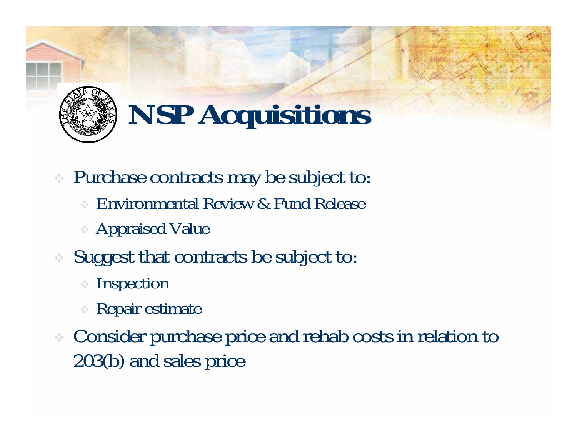

- Purchase contracts may be subject to:
	- Environmental Review & Fund Release
	- Appraised Value
- Suggest that contracts be subject to:
	- Inspection
	- Repair estimate
- Consider purchase price and rehab costs in relation to 203(b) and sales price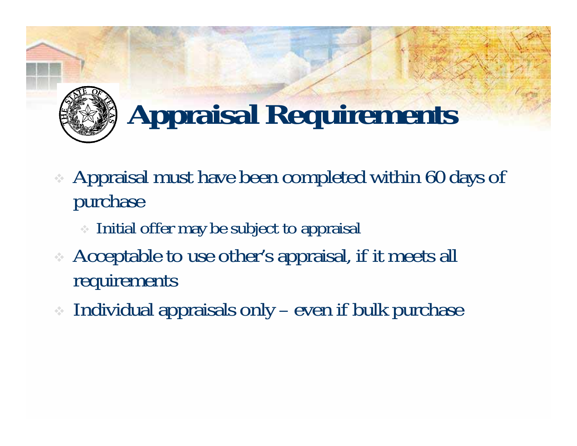

## **Appraisal Requirements**

- Appraisal must have been completed within 60 days of purchase
	- Initial offer may be subject to appraisal
- Acceptable to use other's appraisal, if it meets all requirements
- Individual appraisals only even if bulk purchase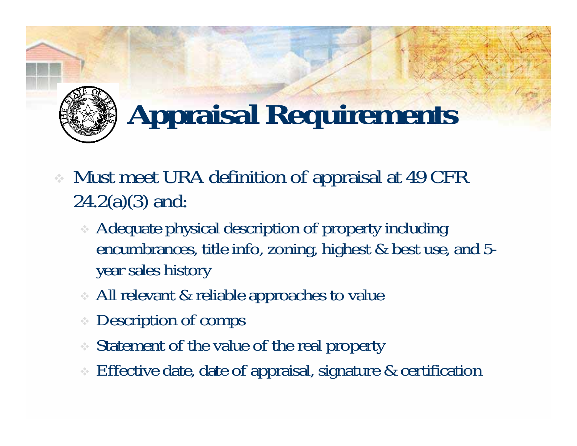

## **Appraisal Requirements**

- Must meet URA definition of appraisal at 49 CFR  $24.2(a)(3)$  and:
	- Adequate physical description of property including encumbrances, title info, zoning, highest & best use, and 5 year sales history
	- All relevant & reliable approaches to value
	- $\mathcal{L}_{\mathcal{S}^{\mathcal{S}}}$ Description of comps
	- Statement of the value of the real property
	- Effective date, date of appraisal, signature & certification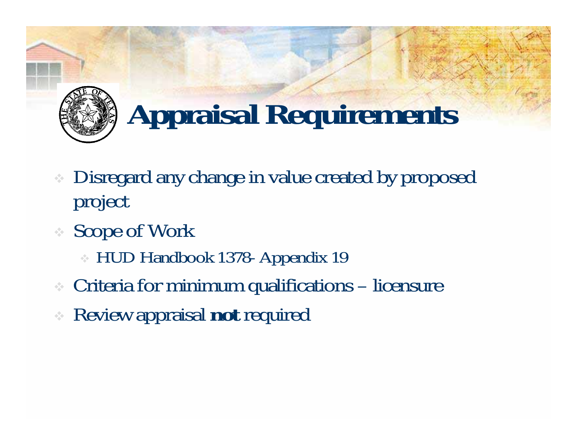

## **Appraisal Requirements**

- Disregard any change in value created by proposed project
- Scope of Work
	- HUD Handbook 1378- Appendix 19
- Criteria for minimum qualifications licensure
- Review appraisal **not** required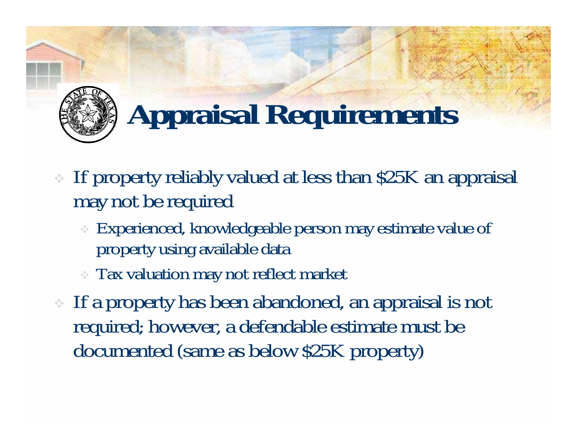

## **Appraisal Requirements**

- If property reliably valued at less than \$25K an appraisal may not be required
	- Experienced, knowledgeable person may estimate value of property using available data
	- Tax valuation may not reflect market
- If a property has been abandoned, an appraisal is not required; however, a defendable estimate must be documented (same as below \$25K property)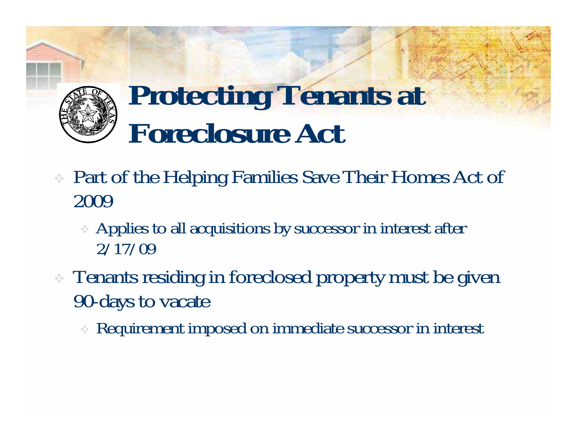#### **Protecting Tenants at Foreclosure Act**

- Part of the Helping Families Save Their Homes Act of 2009
	- Applies to all acquisitions by successor in interest after 2/17/09
- Tenants residing in foreclosed property must be given 90-days to vacate
	- Requirement imposed on immediate successor in interest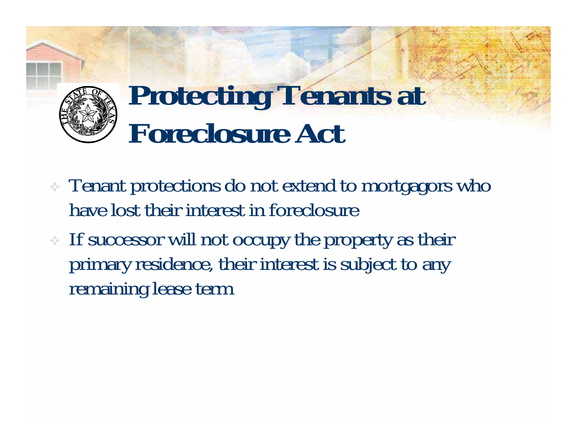

#### **Protecting Tenants at Foreclosure Act**

- Tenant protections do not extend to mortgagors who have lost their interest in foreclosure
- If successor will not occupy the property as their primary residence, their interest is subject to any remaining lease term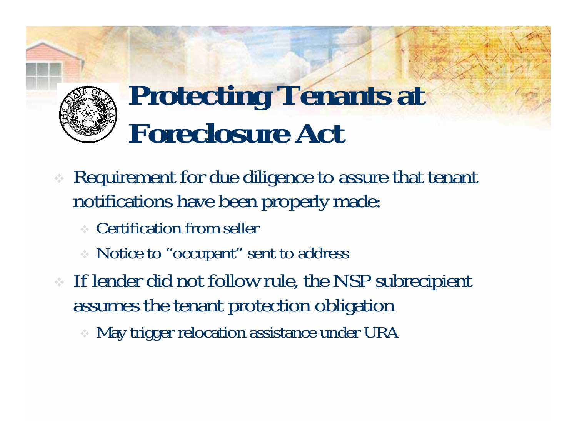

#### **Protecting Tenants at Foreclosure Act**

- Requirement for due diligence to assure that tenant notifications have been properly made:
	- Certification from seller
	- Notice to "occupant" sent to address
- If lender did not follow rule, the NSP subrecipient assumes the tenant protection obligation
	- May trigger relocation assistance under URA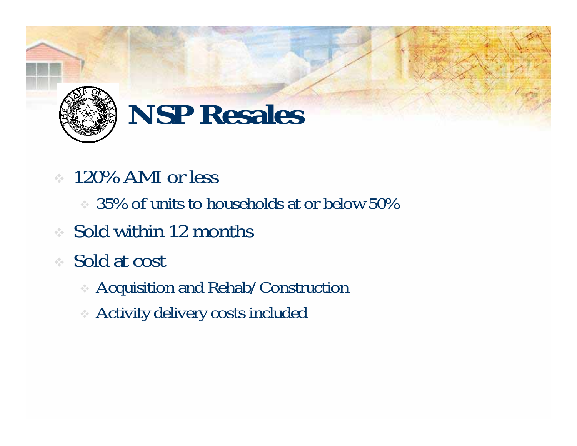

#### **NSP Resales**

- 120% AMI or less
	- $\approx$  35% of units to households at or below 50%
- Sold within 12 months
- Sold at cost
	- Acquisition and Rehab/Construction
	- Activity delivery costs included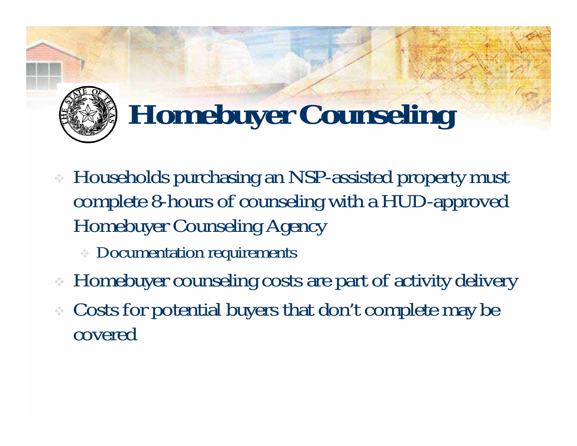

## **Homebuyer Counseling**

- Households purchasing an NSP-assisted property must complete 8-hours of counseling with a HUD-approved Homebuyer Counseling Agency
	- **Documentation requirements**
- Homebuyer counseling costs are part of activity delivery
- Costs for potential buyers that don't complete may be covered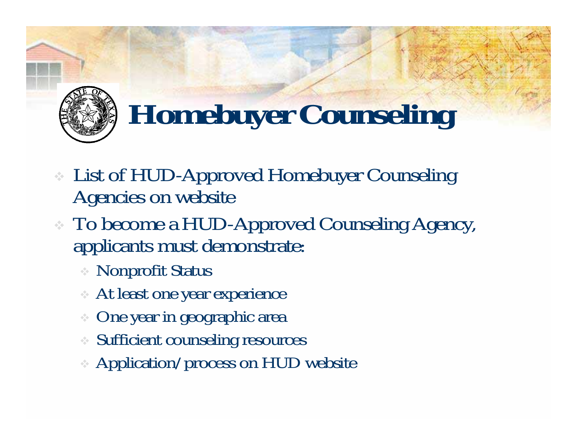

## **Homebuyer Counseling**

- List of HUD-Approved Homebuyer Counseling Agencies on website
- To become a HUD-Approved Counseling Agency, applicants must demonstrate:
	- Nonprofit Status
	- At least one year experience
	- One year in geographic area
	- Sufficient counseling resources
	- Application/process on HUD website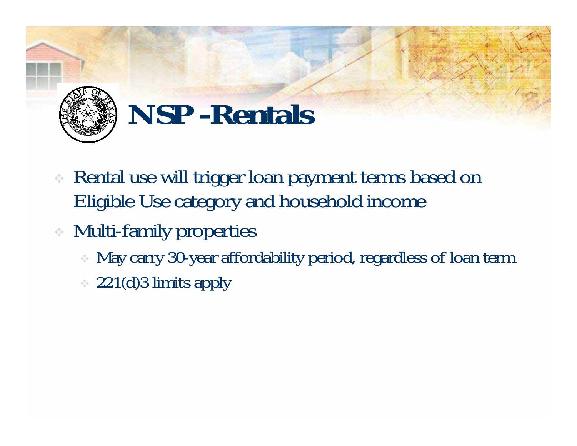

#### **NSP -Rentals**

- Rental use will trigger loan payment terms based on Eligible Use category and household income
- Multi-family properties
	- May carry 30-year affordability period, regardless of loan term
	- $\approx$  221(d)3 limits apply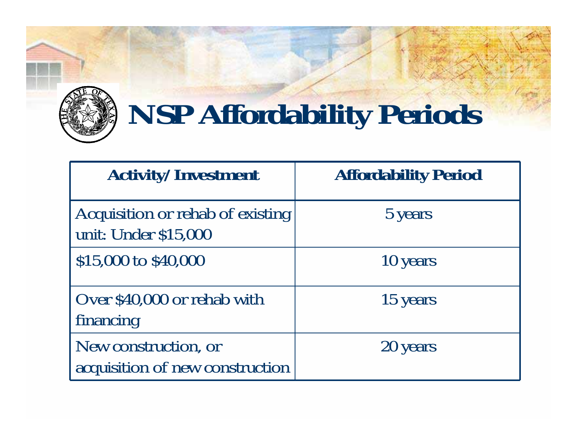

#### **NSP Affordability Periods**

| <b>Activity/Investment</b>                               | <b>Affordability Period</b> |
|----------------------------------------------------------|-----------------------------|
| Acquisition or rehab of existing<br>unit: Under \$15,000 | 5 years                     |
| \$15,000 to \$40,000                                     | 10 years                    |
| Over \$40,000 or rehab with<br>financing                 | 15 years                    |
| New construction, or<br>acquisition of new construction  | 20 years                    |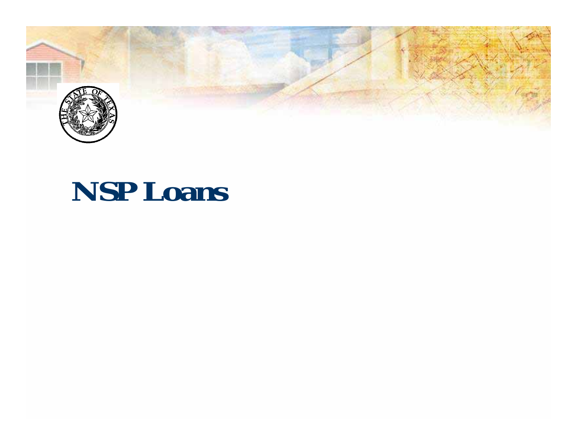

#### **NSP Loans**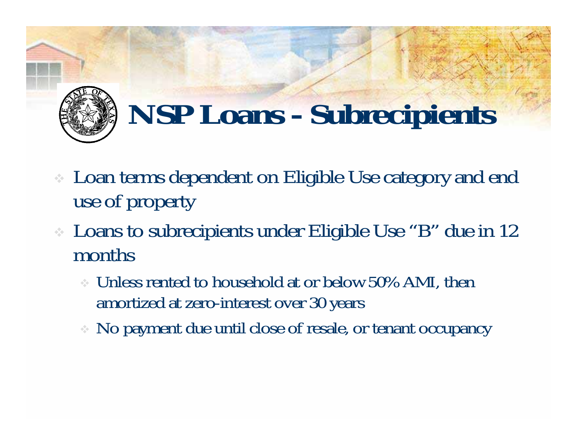

#### **NSP Loans - Subrecipients**

- Loan terms dependent on Eligible Use category and end use of property
- Loans to subrecipients under Eligible Use "B" due in 12 months
	- Unless rented to household at or below 50% AMI, then amortized at zero-interest over 30 years
	- No payment due until close of resale, or tenant occupancy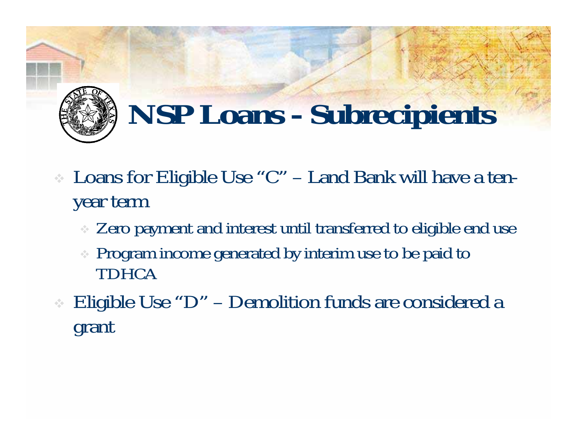

### **NSP Loans - Subrecipients**

- Loans for Eligible Use "C" Land Bank will have a tenyear term
	- Zero payment and interest until transferred to eligible end use
	- Program income generated by interim use to be paid to TDHCA
- Eligible Use "D" Demolition funds are considered a grant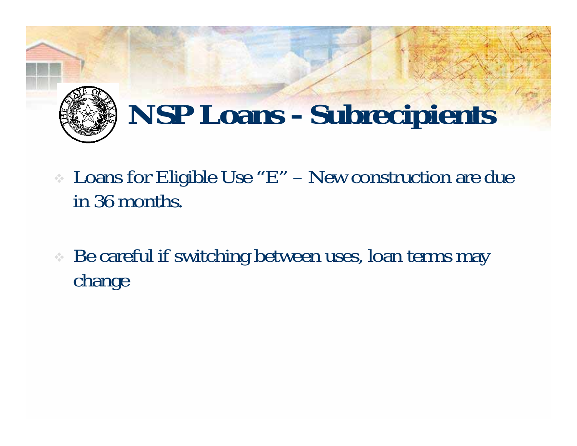

### **NSP Loans - Subrecipients**

- Loans for Eligible Use "E" New construction are due in 36 months.
- Be careful if switching between uses, loan terms may change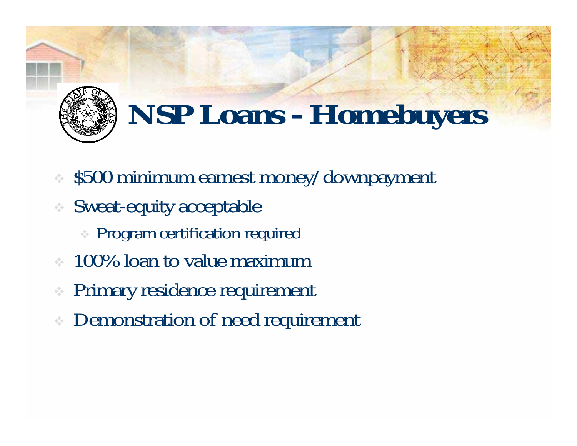

### **NSP Loans - Homebuyers**

- $\approx$  \$500 minimum earnest money/downpayment
- Sweat-equity acceptable
	- **Program certification required**
- $\approx 100\%$  loan to value maximum
- ÷ Primary residence requirement
- **EXECUTE:** Demonstration of need requirement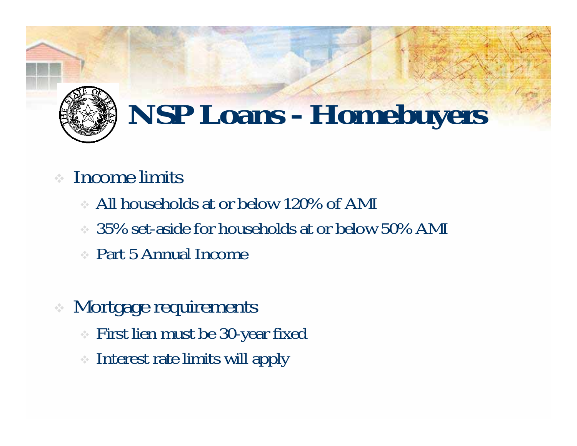

#### **NSP Loans - Homebuyers**

#### Income limits

- All households at or below 120% of AMI
- $\approx$  35% set-aside for households at or below 50% AMI
- Part 5 Annual Income
- Mortgage requirements
	- First lien must be 30-year fixed
	- Interest rate limits will apply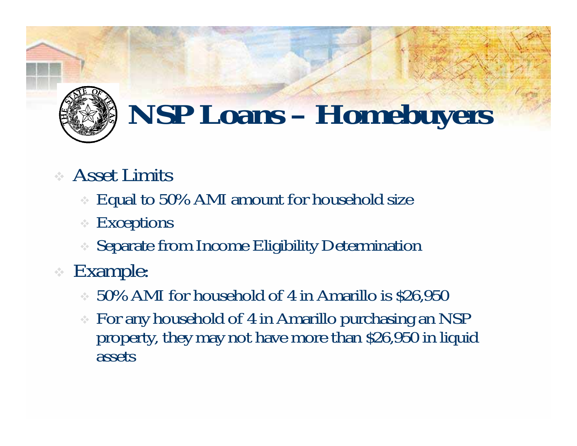

#### **NSP Loans – Homebuyers**

- Asset Limits
	- Equal to 50% AMI amount for household size
	- $\frac{1}{2} \frac{1}{2} \frac{1}{2}$ Exceptions
	- Separate from Income Eligibility Determination
- Example:
	- 50% AMI for household of 4 in Amarillo is \$26,950
	- For any household of 4 in Amarillo purchasing an NSP property, they may not have more than \$26,950 in liquid assets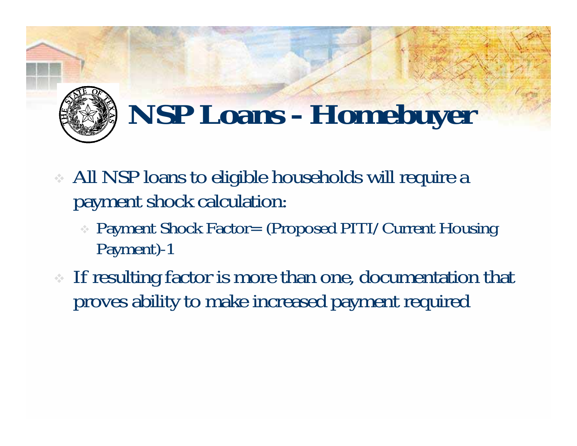

#### **NSP Loans - Homebuyer**

- All NSP loans to eligible households will require a payment shock calculation:
	- Payment Shock Factor= (Proposed PITI/Current Housing Payment)-1
- If resulting factor is more than one, documentation that proves ability to make increased payment required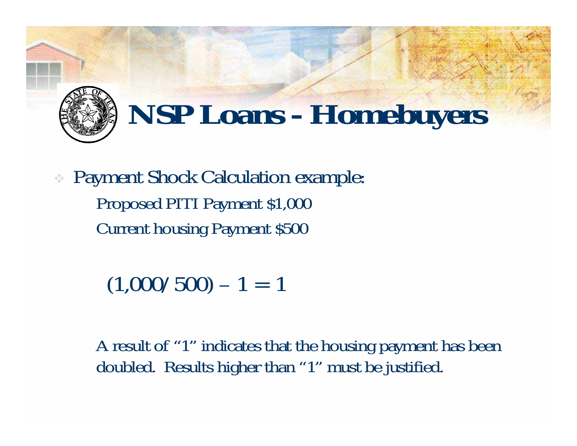

#### **NSP Loans - Homebuyers**

 Payment Shock Calculation example: Proposed PITI Payment \$1,000 Current housing Payment \$500

 $(1,000/500) - 1 = 1$ 

A result of "1" indicates that the housing payment has been doubled. Results higher than "1" must be justified.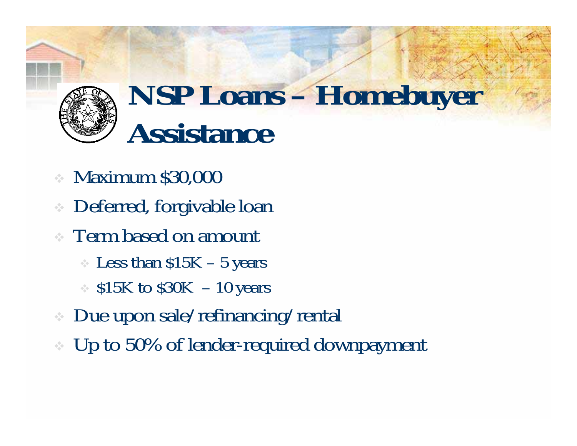

#### **NSP Loans – Homebuyer Assistance**

- Maximum \$30,000
- Deferred, forgivable loan
- Term based on amount
	- $\cdot$  Less than  $$15K 5$  years
	- $\therefore$  \$15K to \$30K 10 years
- Due upon sale/refinancing/rental
- Up to 50% of lender-required downpayment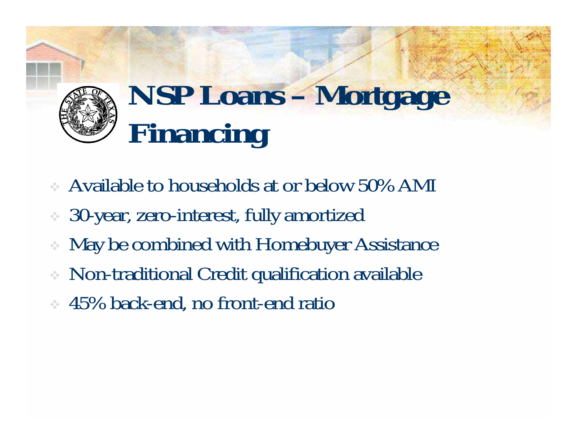### **NSP Loans – Mortgage Financing**

- Available to households at or below 50% AMI
- 30-year, zero-interest, fully amortized
- ❖ May be combined with Homebuyer Assistance
- Non-traditional Credit qualification available
- **↓ 45% back-end, no front-end ratio**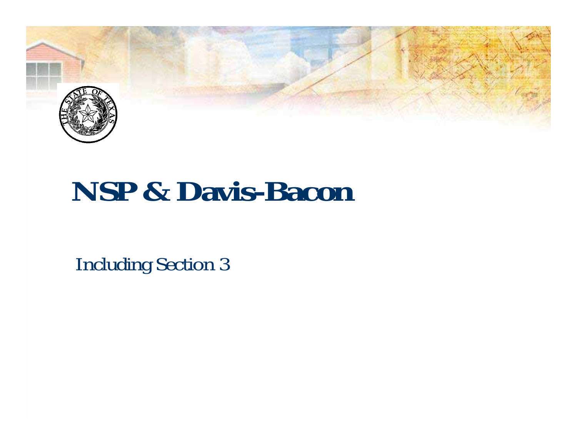

#### **NSP & Davis-Bacon**

Including Section 3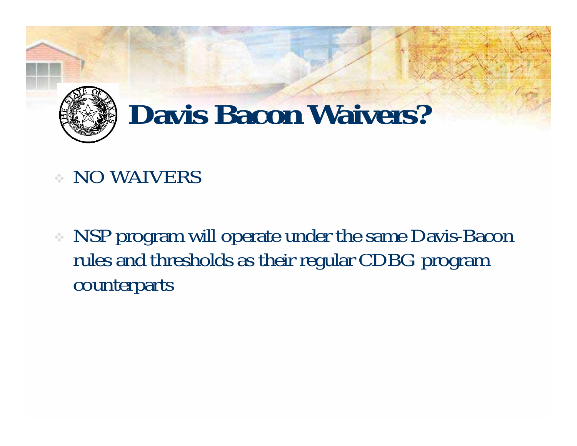

#### **Davis Bacon Waivers?**

- NO WAIVERS
- NSP program will operate under the same Davis-Bacon rules and thresholds as their regular CDBG program counterparts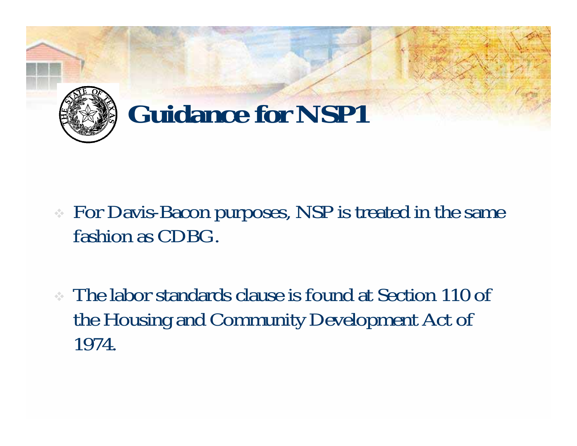

- For Davis-Bacon purposes, NSP is treated in the same fashion as CDBG.
- The labor standards clause is found at Section 110 of the Housing and Community Development Act of 1974.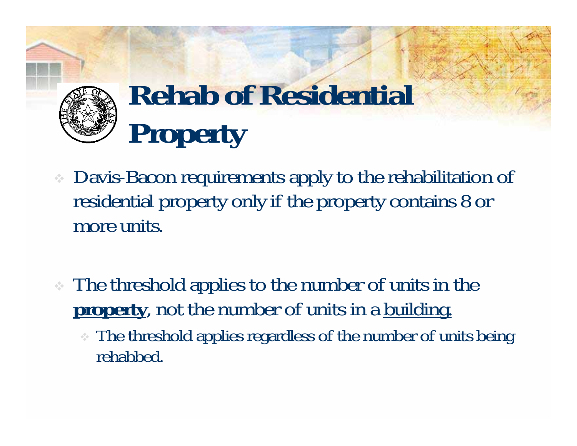

## **Rehab of Residential Property**

- Davis-Bacon requirements apply to the rehabilitation of residential property only if the property contains 8 or more units.
- The threshold applies to the number of units in the **property**, not the number of units in a building.
	- The threshold applies regardless of the number of units being rehabbed.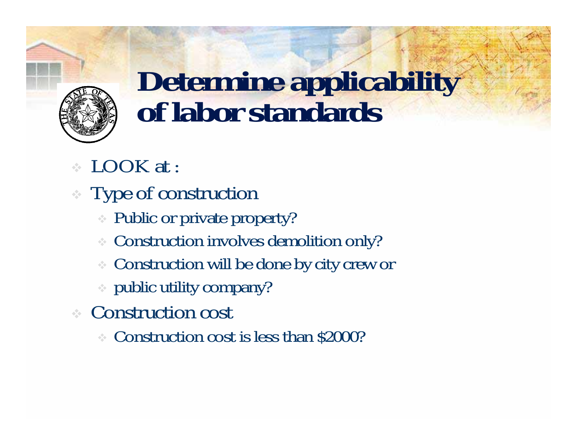

## **Determine applicability of labor standards**

- LOOK at :
- Type of construction
	- Public or private property?
	- Construction involves demolition only?
	- Construction will be done by city crew or
	- public utility company?
- Construction cost
	- Construction cost is less than \$2000?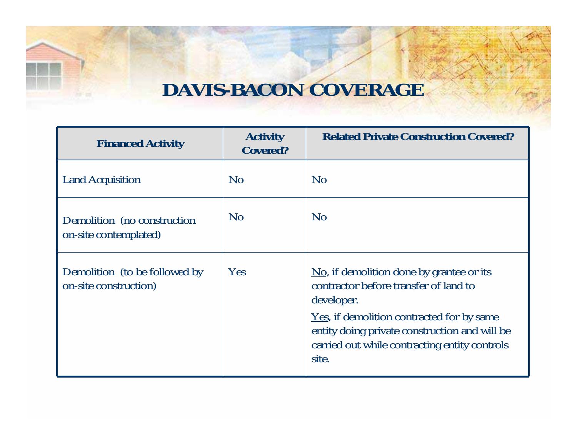#### **DAVIS-BACON COVERAGE**

| <b>Financed Activity</b>                               | <b>Activity</b><br><b>Covered?</b> | <b>Related Private Construction Covered?</b>                                                                                                                                                                                                                                          |
|--------------------------------------------------------|------------------------------------|---------------------------------------------------------------------------------------------------------------------------------------------------------------------------------------------------------------------------------------------------------------------------------------|
| <b>Land Acquisition</b>                                | N <sub>0</sub>                     | N <sub>0</sub>                                                                                                                                                                                                                                                                        |
| Demolition (no construction)<br>on-site contemplated)  | N <sub>0</sub>                     | $\rm No$                                                                                                                                                                                                                                                                              |
| Demolition (to be followed by<br>on-site construction) | Yes                                | $\underline{\text{No}}$ , if demolition done by grantee or its<br>contractor before transfer of land to<br>developer.<br><u>Yes</u> , if demolition contracted for by same<br>entity doing private construction and will be<br>carried out while contracting entity controls<br>site. |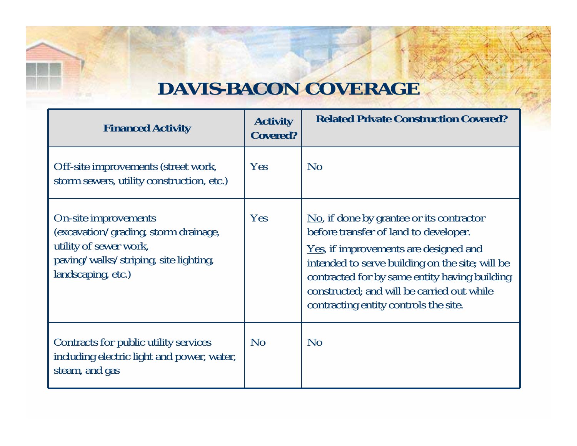#### **DAVIS-BACON COVERAGE**

| <b>Financed Activity</b>                                                                                                                              | <b>Activity</b><br><b>Covered?</b> | <b>Related Private Construction Covered?</b>                                                                                                                                                                                                                                                                                                 |
|-------------------------------------------------------------------------------------------------------------------------------------------------------|------------------------------------|----------------------------------------------------------------------------------------------------------------------------------------------------------------------------------------------------------------------------------------------------------------------------------------------------------------------------------------------|
| Off-site improvements (street work,<br>storm sewers, utility construction, etc.)                                                                      | Yes                                | N <sub>o</sub>                                                                                                                                                                                                                                                                                                                               |
| On-site improvements<br>(excavation/grading, storm drainage,<br>utility of sewer work,<br>paving/walks/striping, site lighting,<br>landscaping, etc.) | Yes                                | $\overline{N_0}$ , if done by grantee or its contractor<br>before transfer of land to developer.<br><u>Yes</u> , if improvements are designed and<br>intended to serve building on the site; will be<br>contracted for by same entity having building<br>constructed; and will be carried out while<br>contracting entity controls the site. |
| Contracts for public utility services<br>including electric light and power, water,<br>steam, and gas                                                 | No                                 | N <sub>o</sub>                                                                                                                                                                                                                                                                                                                               |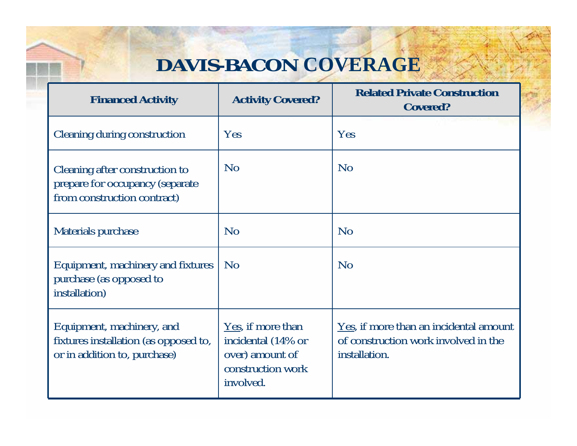#### **DAVIS-BACON COVERAGE**

| <b>Financed Activity</b>                                                                           | <b>Activity Covered?</b>                                                                     | <b>Related Private Construction</b><br><b>Covered?</b>                                          |
|----------------------------------------------------------------------------------------------------|----------------------------------------------------------------------------------------------|-------------------------------------------------------------------------------------------------|
| Cleaning during construction                                                                       | Yes                                                                                          | Yes                                                                                             |
| Cleaning after construction to<br>prepare for occupancy (separate<br>from construction contract)   | N <sub>o</sub>                                                                               | N <sub>o</sub>                                                                                  |
| Materials purchase                                                                                 | N <sub>o</sub>                                                                               | N <sub>o</sub>                                                                                  |
| Equipment, machinery and fixtures<br>purchase (as opposed to<br>installation)                      | <b>No</b>                                                                                    | <b>No</b>                                                                                       |
| Equipment, machinery, and<br>fixtures installation (as opposed to,<br>or in addition to, purchase) | Yes, if more than<br>incidental (14% or<br>over) amount of<br>construction work<br>involved. | Yes, if more than an incidental amount<br>of construction work involved in the<br>installation. |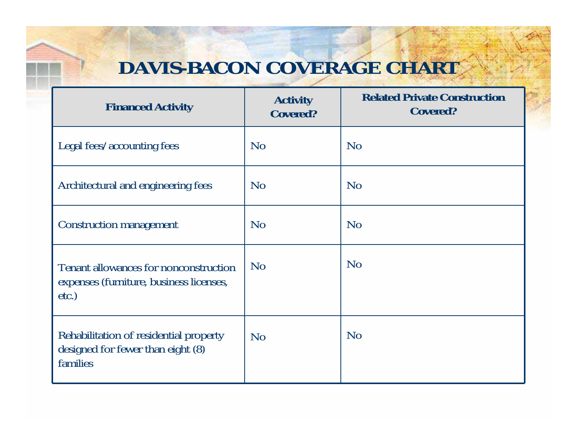#### **DAVIS-BACON COVERAGE CHART**

| <b>Financed Activity</b>                                                                     | <b>Activity</b><br><b>Covered?</b> | <b>Related Private Construction</b><br><b>Covered?</b> |
|----------------------------------------------------------------------------------------------|------------------------------------|--------------------------------------------------------|
| Legal fees/accounting fees                                                                   | N <sub>o</sub>                     | N <sub>o</sub>                                         |
| Architectural and engineering fees                                                           | N <sub>o</sub>                     | No                                                     |
| Construction management                                                                      | No                                 | No                                                     |
| Tenant allowances for nonconstruction<br>expenses (furniture, business licenses,<br>$etc.$ ) | No                                 | No                                                     |
| Rehabilitation of residential property<br>designed for fewer than eight (8)<br>families      | N <sub>o</sub>                     | N <sub>o</sub>                                         |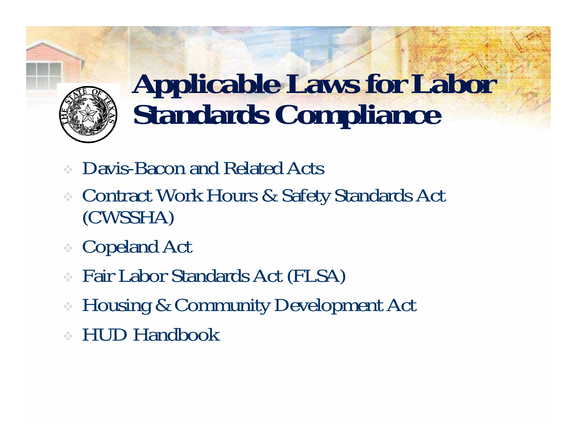

# **Applicable Laws for Labor Standards Compliance**

- Davis-Bacon and Related Acts
- Contract Work Hours & Safety Standards Act (CWSSHA)
- Copeland Act
- Fair Labor Standards Act (FLSA)
- Housing & Community Development Act
- HUD Handbook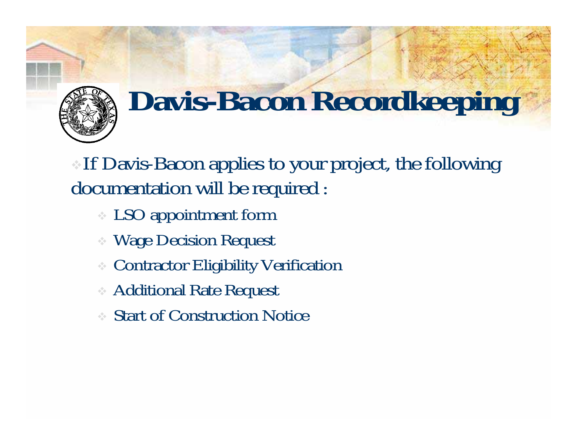

## **Davis-Bacon Recordkeeping**

If Davis-Bacon applies to your project, the following documentation will be required :

- LSO appointment form
- Wage Decision Request
- Contractor Eligibility Verification
- Additional Rate Request
- Start of Construction Notice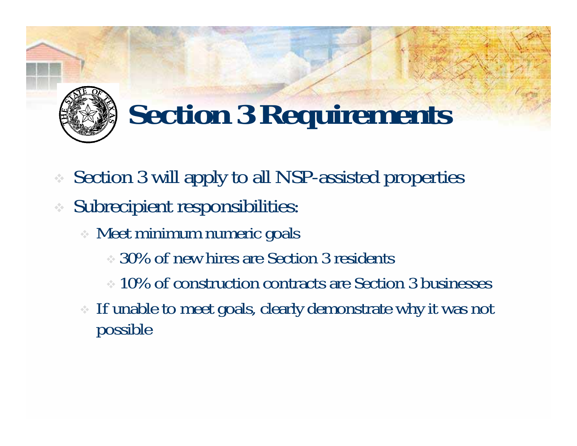

#### **Section 3 Requirements**

- ÷ Section 3 will apply to all NSP-assisted properties
- Subrecipient responsibilities:
	- Meet minimum numeric goals
		- 30% of new hires are Section 3 residents
		- $\approx 10\%$  of construction contracts are Section 3 businesses
	- If unable to meet goals, clearly demonstrate why it was not possible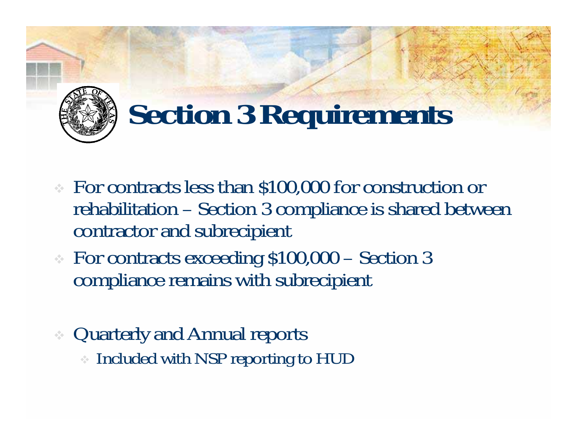

#### **Section 3 Requirements**

- For contracts less than \$100,000 for construction or rehabilitation – Section 3 compliance is shared between contractor and subrecipient
- For contracts exceeding \$100,000 Section 3 compliance remains with subrecipient
- Quarterly and Annual reports Included with NSP reporting to HUD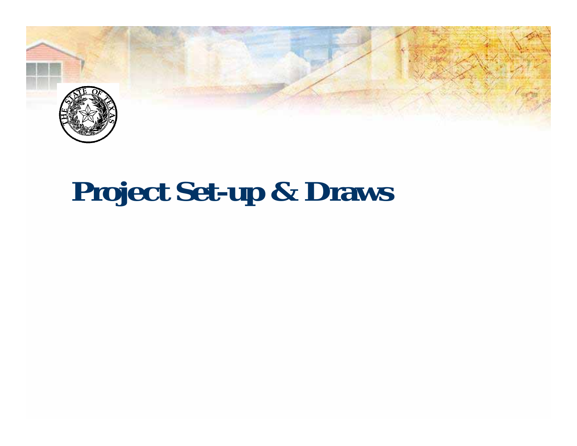

#### **Project Set-up & Draws**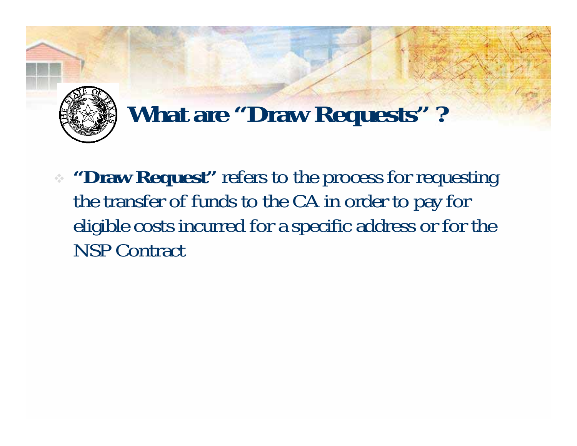

#### **What are "Draw Requests" ?**

**Draw Request"** refers to the process for requesting the transfer of funds to the CA in order to pay for eligible costs incurred for a specific address or for the NSP Contract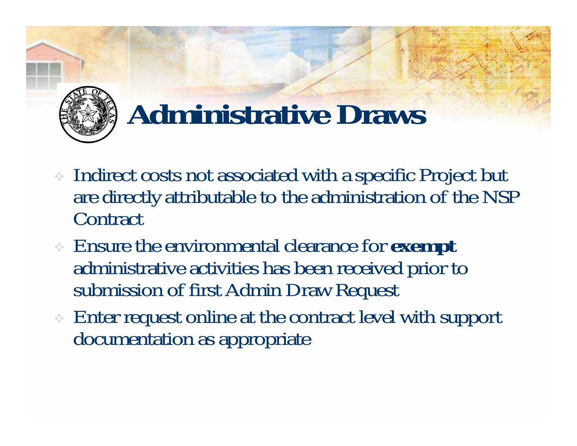

## **Administrative Draws**

- Indirect costs not associated with a specific Project but are directly attributable to the administration of the NSP **Contract**
- Ensure the environmental clearance for **exemp<sup>t</sup>** administrative activities has been received prior to submission of first Admin Draw Request
- Enter request online at the contract level with support documentation as appropriate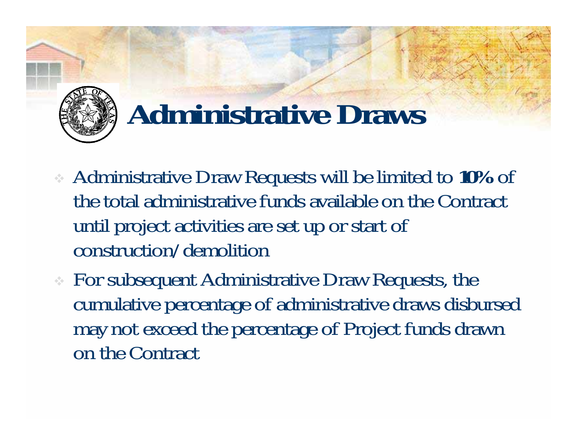

#### **Administrative Draws**

- Administrative Draw Requests will be limited to **10%** of the total administrative funds available on the Contract until project activities are set up or start of construction/demolition
- For subsequent Administrative Draw Requests, the cumulative percentage of administrative draws disbursed may not exceed the percentage of Project funds drawn on the Contract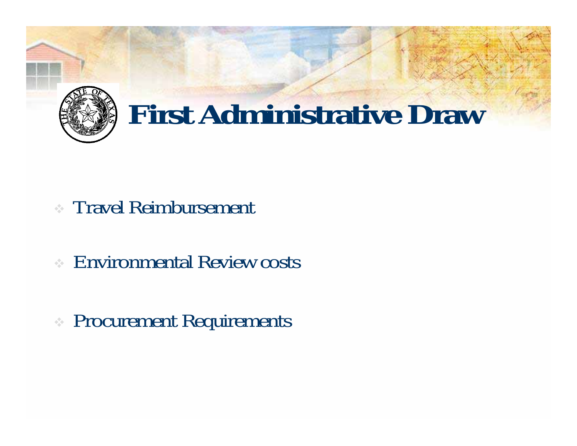

- Travel Reimbursement
- Environmental Review costs
- Procurement Requirements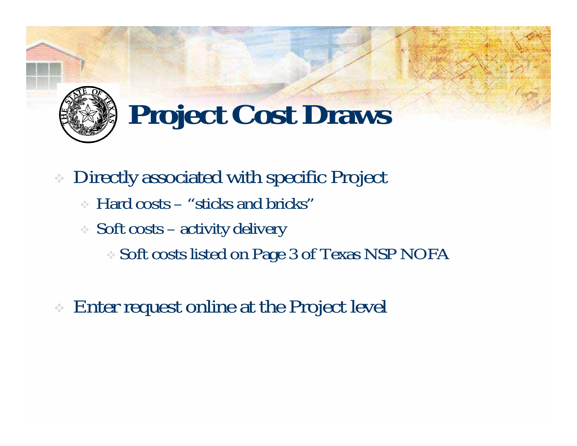

# **Project Cost Draws**

- Directly associated with specific Project
	- Hard costs "sticks and bricks"
	- Soft costs activity delivery
		- Soft costs listed on Page 3 of Texas NSP NOFA
- Enter request online at the Project level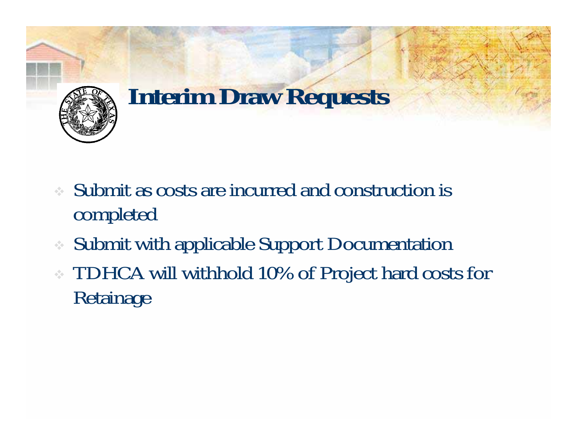

#### **Interim Draw Requests**

- Submit as costs are incurred and construction is completed
- ❖ Submit with applicable Support Documentation
- TDHCA will withhold 10% of Project hard costs for Retainage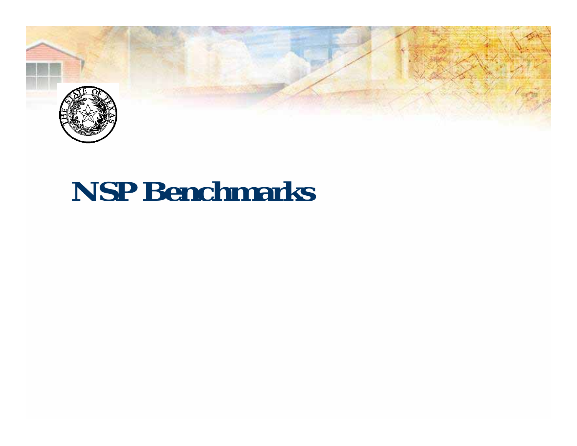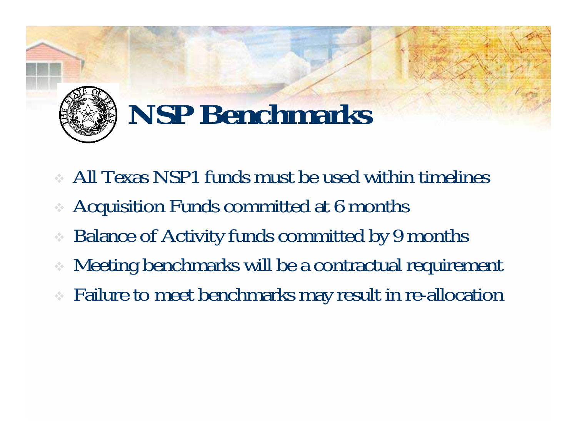

- All Texas NSP1 funds must be used within timelines
- Acquisition Funds committed at 6 months
- ❖ Balance of Activity funds committed by 9 months
- ÷ Meeting benchmarks will be a contractual requirement
- Failure to meet benchmarks may result in re-allocation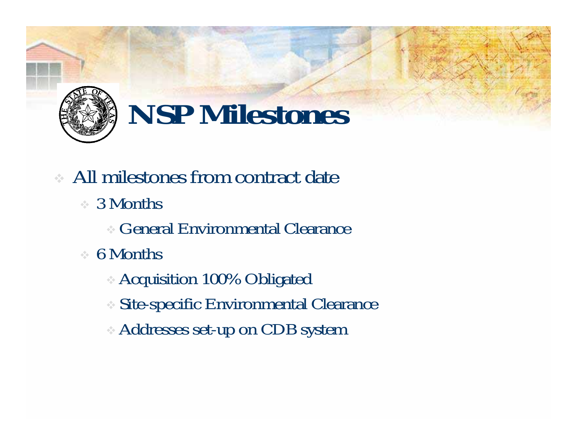

## **NSP Milestones**

- All milestones from contract date
	- 3 Months
		- General Environmental Clearance
	- 6 Months
		- Acquisition 100% Obligated
		- Site-specific Environmental Clearance
		- Addresses set-up on CDB system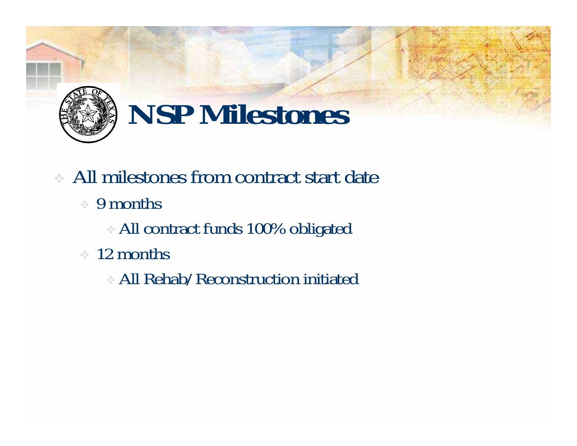

## **NSP Milestones**

- All milestones from contract start date
	- 9 months
		- All contract funds 100% obligated
	- 12 months
		- All Rehab/Reconstruction initiated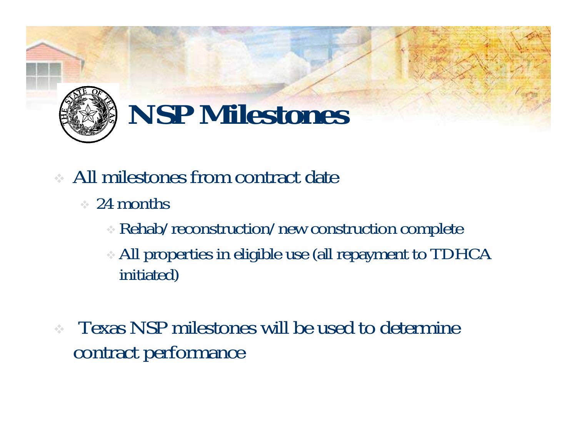

## **NSP Milestones**

- All milestones from contract date
	- 24 months
		- Rehab/reconstruction/new construction complete
		- All properties in eligible use (all repayment to TDHCA initiated)
- Texas NSP milestones will be used to determine contract performance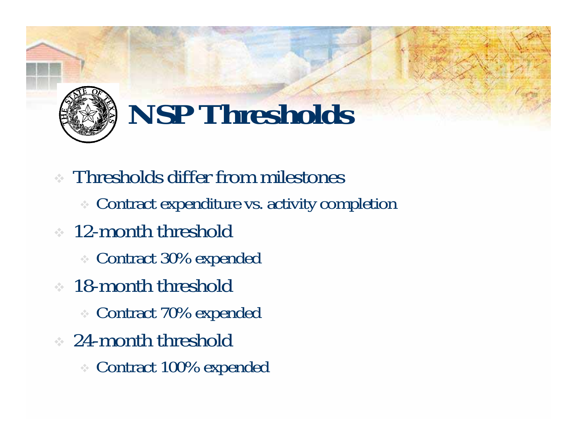

## **NSP Thresholds**

- Thresholds differ from milestones
	- Contract expenditure vs. activity completion
- <sup>12</sup>-month threshold
	- Contract 30% expended
- **18-month threshold** 
	- Contract 70% expended
- 24-month threshold
	- Contract 100% expended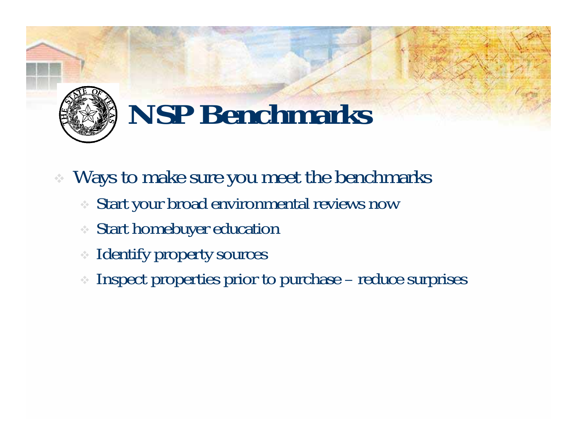

- Ways to make sure you meet the benchmarks
	- Start your broad environmental reviews now
	- Start homebuyer education
	- $\frac{1}{2} \frac{1}{2}$ Identify property sources
	- Inspect properties prior to purchase reduce surprises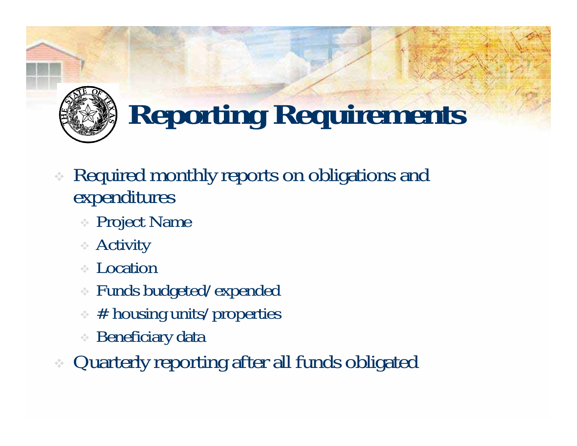

# **Reporting Requirements**

- ÷ Required monthly reports on obligations and expenditures
	- Project Name
	- Activity
	- ← Location
	- $\frac{1}{2} \frac{d^2}{dt^2}$ Funds budgeted/expended
	- # housing units/properties
	- ❖ Beneficiary data
- ❖ Quarterly reporting after all funds obligated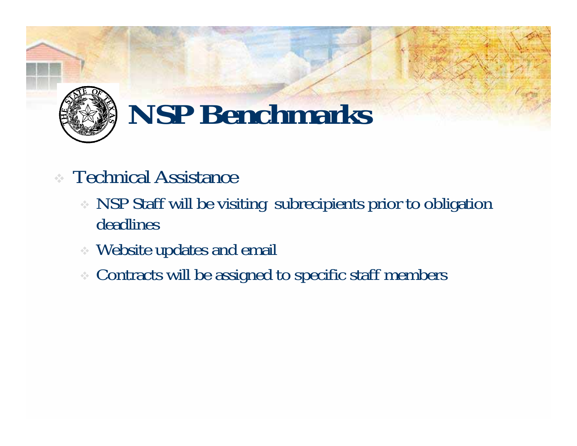

#### **Technical Assistance**

- NSP Staff will be visiting subrecipients prior to obligation deadlines
- Website updates and email
- $\sigma_{\rm eff}^{\rm th}$ Contracts will be assigned to specific staff members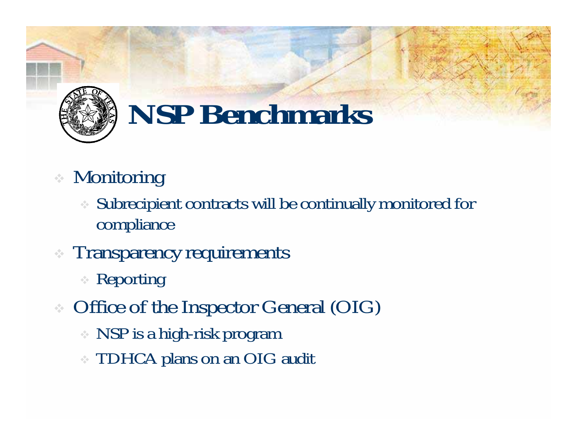

#### Monitoring

- Subrecipient contracts will be continually monitored for compliance
- **Transparency requirements** 
	- Reporting
- Office of the Inspector General (OIG)
	- NSP is a high-risk program
	- TDHCA plans on an OIG audit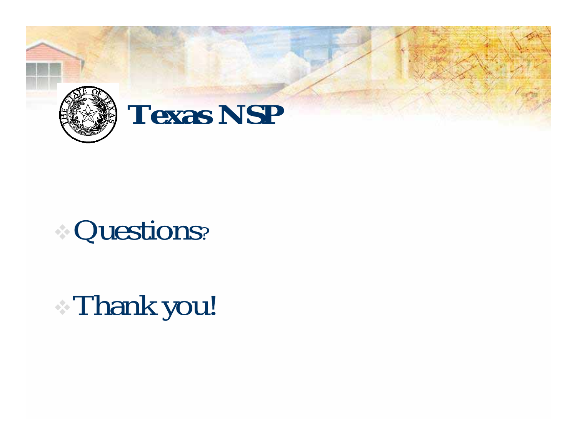

#### Questions?

# Thank you!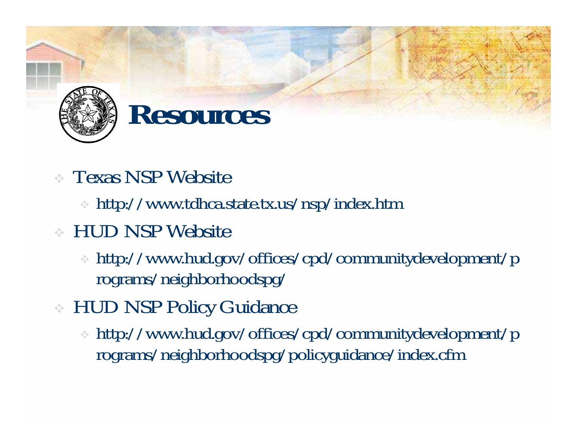

#### **Resources**

- Texas NSP Website
	- http://www.tdhca.state.tx.us/nsp/index.htm
- HUD NSP Website
	- http://www.hud.gov/offices/cpd/communitydevelopment/p rograms/neighborhoodspg/
- HUD NSP Policy Guidance
	- http://www.hud.gov/offices/cpd/communitydevelopment/p rograms/neighborhoodspg/policyguidance/index.cfm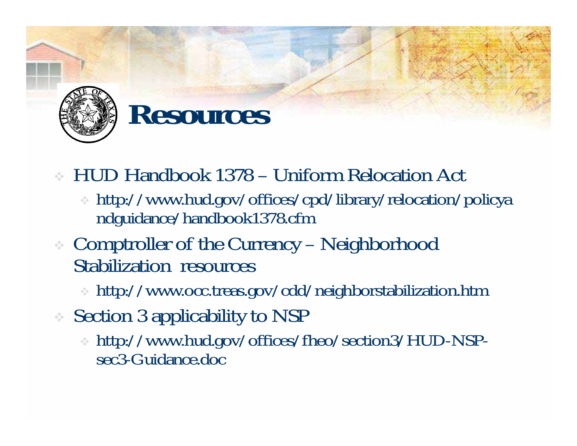

#### **Resources**

- HUD Handbook 1378 Uniform Relocation Act
	- http://www.hud.gov/offices/cpd/library/relocation/policya ndguidance/handbook1378.cfm
- Comptroller of the Currency Neighborhood Stabilization resources
	- http://www.occ.treas.gov/cdd/neighborstabilization.htm
- Section 3 applicability to NSP
	- http://www.hud.gov/offices/fheo/section3/HUD-NSPsec3-Guidance.doc